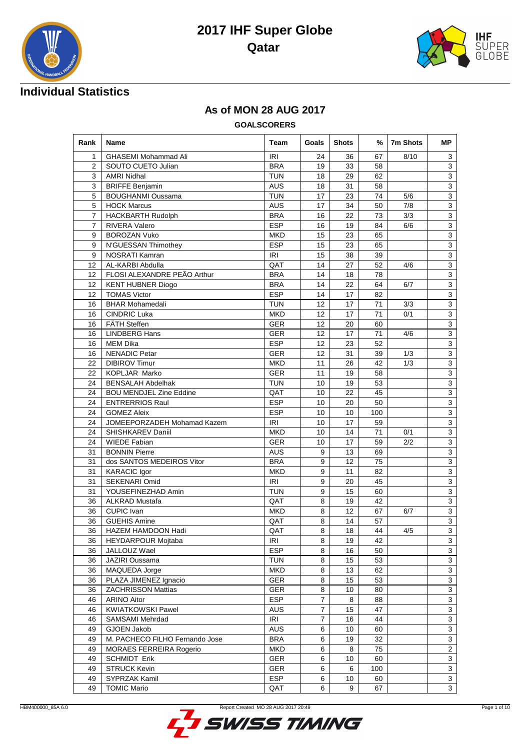



## **Individual Statistics**

#### **As of MON 28 AUG 2017**

**GOALSCORERS**

| Rank            | Name                                          | Team       | Goals          | <b>Shots</b> | %              | 7m Shots | ΜP                        |
|-----------------|-----------------------------------------------|------------|----------------|--------------|----------------|----------|---------------------------|
| $\mathbf{1}$    | <b>GHASEMI Mohammad Ali</b>                   | IRI        | 24             | 36           | 67             | 8/10     | 3                         |
| $\overline{2}$  | SOUTO CUETO Julian                            | <b>BRA</b> | 19             | 33           | 58             |          | 3                         |
| 3               | <b>AMRI Nidhal</b>                            | <b>TUN</b> | 18             | 29           | 62             |          | $\overline{3}$            |
| 3               | <b>BRIFFE Benjamin</b>                        | <b>AUS</b> | 18             | 31           | 58             |          | $\overline{3}$            |
| 5               | <b>BOUGHANMI Oussama</b>                      | <b>TUN</b> | 17             | 23           | 74             | 5/6      | $\overline{3}$            |
| 5               | <b>HOCK Marcus</b>                            | <b>AUS</b> | 17             | 34           | 50             | 7/8      | 3                         |
| $\overline{7}$  | <b>HACKBARTH Rudolph</b>                      | <b>BRA</b> | 16             | 22           | 73             | 3/3      | 3                         |
| $\overline{7}$  | <b>RIVERA Valero</b>                          | <b>ESP</b> | 16             | 19           | 84             | 6/6      | 3                         |
| 9               | <b>BOROZAN Vuko</b>                           | <b>MKD</b> | 15             | 23           | 65             |          | $\overline{3}$            |
| 9               | N'GUESSAN Thimothey                           | <b>ESP</b> | 15             | 23           | 65             |          | $\overline{3}$            |
| 9               | NOSRATI Kamran                                | IRI        | 15             | 38           | 39             |          | $\overline{3}$            |
| 12              | AL-KARBI Abdulla                              | QAT        | 14             | 27           | 52             | 4/6      | 3                         |
| 12 <sup>2</sup> | FLOSI ALEXANDRE PEÃO Arthur                   | <b>BRA</b> | 14             | 18           | 78             |          | 3                         |
| 12 <sup>2</sup> | <b>KENT HUBNER Diogo</b>                      | <b>BRA</b> | 14             | 22           | 64             | 6/7      | $\overline{3}$            |
| 12              | <b>TOMAS Victor</b>                           | <b>ESP</b> | 14             | 17           | 82             |          | $\overline{3}$            |
| 16              | <b>BHAR Mohamedali</b>                        | <b>TUN</b> | 12             | 17           | 71             | 3/3      | $\overline{3}$            |
| 16              | <b>CINDRIC Luka</b>                           | <b>MKD</b> | 12             | 17           | 71             | 0/1      | $\overline{\overline{3}}$ |
| 16              | FÄTH Steffen                                  | <b>GER</b> | 12             | 20           | 60             |          | $\overline{3}$            |
| 16              | <b>LINDBERG Hans</b>                          | <b>GER</b> | 12             | 17           | 71             | 4/6      | 3                         |
| 16              | <b>MEM Dika</b>                               | <b>ESP</b> | 12             | 23           | 52             |          | 3                         |
| 16              | <b>NENADIC Petar</b>                          | <b>GER</b> | 12             | 31           | 39             | 1/3      | 3                         |
| 22              | <b>DIBIROV Timur</b>                          | <b>MKD</b> | 11             | 26           | 42             | 1/3      | $\overline{3}$            |
| 22              | KOPLJAR Marko                                 | <b>GER</b> | 11             | 19           | 58             |          | $\overline{\overline{3}}$ |
| 24              | <b>BENSALAH Abdelhak</b>                      | <b>TUN</b> | 10             | 19           | 53             |          | 3                         |
| 24              | <b>BOU MENDJEL Zine Eddine</b>                | QAT        | 10             | 22           | 45             |          | 3                         |
| 24              | <b>ENTRERRIOS Raul</b>                        | <b>ESP</b> | 10             | 20           | 50             |          | $\overline{3}$            |
| 24              | <b>GOMEZ Aleix</b>                            | <b>ESP</b> | 10             | 10           | 100            |          | 3                         |
| 24              | JOMEEPORZADEH Mohamad Kazem                   | IRI        | 10             | 17           | 59             |          | $\overline{3}$            |
| 24              | SHISHKAREV Daniil                             | <b>MKD</b> | 10             | 14           | 71             | 0/1      | $\overline{3}$            |
| 24              | <b>WIEDE Fabian</b>                           | <b>GER</b> | 10             | 17           | 59             | 2/2      | $\overline{3}$            |
| 31              | <b>BONNIN Pierre</b><br><b>AUS</b><br>13<br>9 |            | 69             |              | $\overline{3}$ |          |                           |
| 31              | dos SANTOS MEDEIROS Vitor                     | <b>BRA</b> | 9              | 12           | 75             |          | 3                         |
| 31              | <b>KARACIC Igor</b>                           | <b>MKD</b> | 9              | 11           | 82             |          | $\overline{3}$            |
| 31              | SEKENARI Omid                                 | IRI        | 9              | 20           | 45             |          | $\overline{3}$            |
| 31              | YOUSEFINEZHAD Amin                            | <b>TUN</b> | 9              | 15           | 60             |          | 3                         |
| 36              | <b>ALKRAD Mustafa</b>                         | QAT        | 8              | 19           | 42             |          | $\overline{\mathbf{3}}$   |
| 36              | <b>CUPIC Ivan</b>                             | <b>MKD</b> | 8              | 12           | 67             | 6/7      | $\overline{3}$            |
| 36              | <b>GUEHIS Amine</b>                           | QAT        | 8              | 14           | 57             |          | $\overline{3}$            |
| 36              | HAZEM HAMDOON Hadi                            | QAT        | 8              | 18           | 44             | 4/5      | $\overline{3}$            |
| 36              | HEYDARPOUR Mojtaba                            | <b>IRI</b> | 8              | 19           | 42             |          | 3                         |
| 36              | JALLOUZ Wael                                  | <b>ESP</b> | 8              | 16           | 50             |          | 3                         |
| 36              | JAZIRI Oussama                                | <b>TUN</b> | 8              | 15           | 53             |          | $\overline{3}$            |
| 36              | MAQUEDA Jorge                                 | <b>MKD</b> | 8              | 13           | 62             |          | 3                         |
| 36              | PLAZA JIMENEZ Ignacio                         | <b>GER</b> | 8              | 15           | 53             |          | 3                         |
| 36              | <b>ZACHRISSON Mattias</b>                     | <b>GER</b> | 8              | 10           | 80             |          | 3                         |
| 46              | <b>ARINO Aitor</b>                            | ESP        | 7              | 8            | 88             |          | 3                         |
| 46              | <b>KWIATKOWSKI Pawel</b>                      | <b>AUS</b> | 7              | 15           | 47             |          | 3                         |
| 46              | SAMSAMI Mehrdad                               | IRI        | $\overline{7}$ | 16           | 44             |          | $\overline{3}$            |
| 49              | GJOEN Jakob                                   | AUS        | 6              | 10           | 60             |          | $\overline{3}$            |
| 49              | M. PACHECO FILHO Fernando Jose                | <b>BRA</b> | 6              | 19           | 32             |          | 3                         |
| 49              | MORAES FERREIRA Rogerio                       | <b>MKD</b> | 6              | 8            | 75             |          | $\overline{c}$            |
| 49              | <b>SCHMIDT Erik</b>                           | <b>GER</b> | 6              | 10           | 60             |          | 3                         |
| 49              | <b>STRUCK Kevin</b>                           | <b>GER</b> | 6              | 6            | 100            |          | 3                         |
| 49              | SYPRZAK Kamil                                 | <b>ESP</b> | 6              | 10           | 60             |          | $\overline{3}$            |
| 49              | <b>TOMIC Mario</b>                            | QAT        | 6              | 9            | 67             |          | $\overline{3}$            |

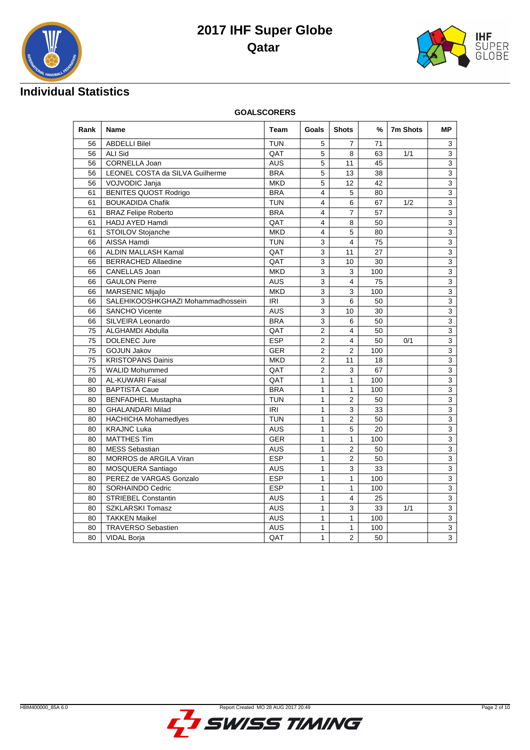



## **Individual Statistics**

**GOALSCORERS**

| Rank | <b>Name</b>                                                                 | <b>Shots</b> | %              | 7m Shots                | <b>MP</b> |     |                           |
|------|-----------------------------------------------------------------------------|--------------|----------------|-------------------------|-----------|-----|---------------------------|
| 56   | <b>ABDELLI Bilel</b>                                                        | <b>TUN</b>   | 5              | 7                       | 71        |     | 3                         |
| 56   | <b>ALI Sid</b>                                                              | QAT          | 5              | 8                       | 63        | 1/1 | 3                         |
| 56   | CORNELLA Joan                                                               | <b>AUS</b>   | 5              | 11                      | 45        |     | $\overline{3}$            |
| 56   | LEONEL COSTA da SILVA Guilherme                                             | <b>BRA</b>   | 5              | 13                      | 38        |     | $\overline{3}$            |
| 56   | VOJVODIC Janja                                                              | <b>MKD</b>   | 5              | 12                      | 42        |     | $\overline{3}$            |
| 61   | <b>BENITES QUOST Rodrigo</b>                                                | <b>BRA</b>   | $\overline{4}$ | 5                       | 80        |     | $\overline{\overline{3}}$ |
| 61   | <b>BOUKADIDA Chafik</b>                                                     | <b>TUN</b>   | $\overline{4}$ | 6                       | 67        | 1/2 | $\overline{3}$            |
| 61   | <b>BRAZ Felipe Roberto</b>                                                  | <b>BRA</b>   | 4              | $\overline{7}$          | 57        |     | 3                         |
| 61   | HADJ AYED Hamdi                                                             | QAT          | $\overline{4}$ | 8                       | 50        |     | $\overline{3}$            |
| 61   | STOILOV Stojanche                                                           | <b>MKD</b>   | $\overline{4}$ | 5                       | 80        |     | 3                         |
| 66   | AISSA Hamdi                                                                 | <b>TUN</b>   | 3              | $\overline{4}$          | 75        |     | $\overline{3}$            |
| 66   | ALDIN MALLASH Kamal                                                         | QAT          | 3              | 11                      | 27        |     | 3                         |
| 66   | <b>BERRACHED Allaedine</b>                                                  | QAT          | $\mathsf 3$    | 10                      | 30        |     | $\overline{\mathbf{3}}$   |
| 66   | CANELLAS Joan                                                               | <b>MKD</b>   | 3              | 3                       | 100       |     | $\overline{3}$            |
| 66   | <b>GAULON Pierre</b>                                                        | <b>AUS</b>   | 3              | $\overline{\mathbf{4}}$ | 75        |     | $\overline{3}$            |
| 66   | <b>MARSENIC Mijajlo</b>                                                     | <b>MKD</b>   | 3              | 3                       | 100       |     | 3                         |
| 66   | SALEHIKOOSHKGHAZI Mohammadhossein                                           | IRI          | $\mathbf{3}$   | 6                       | 50        |     | $\overline{3}$            |
| 66   | <b>SANCHO Vicente</b>                                                       | <b>AUS</b>   | 3              | 10                      | 30        |     | $\overline{3}$            |
| 66   | SILVEIRA Leonardo                                                           | <b>BRA</b>   | 3              | 6                       | 50        |     | $\overline{3}$            |
| 75   | <b>ALGHAMDI Abdulla</b>                                                     | QAT          | $\overline{2}$ | 4                       | 50        |     | 3                         |
| 75   | <b>DOLENEC Jure</b>                                                         | <b>ESP</b>   | $\overline{2}$ | $\overline{4}$          | 50        | 0/1 | $\overline{3}$            |
| 75   | <b>GOJUN Jakov</b>                                                          | <b>GER</b>   | $\overline{2}$ | $\overline{2}$          | 100       |     | 3                         |
| 75   | <b>KRISTOPANS Dainis</b>                                                    | <b>MKD</b>   | $\overline{2}$ | 11                      | 18        |     | $\overline{3}$            |
| 75   | <b>WALID Mohummed</b>                                                       | QAT          | 2              | 3                       | 67        |     | $\overline{3}$            |
| 80   | <b>AL-KUWARI Faisal</b>                                                     | QAT          | $\mathbf{1}$   | $\mathbf{1}$            | 100       |     | $\overline{\mathbf{3}}$   |
| 80   | <b>BAPTISTA Caue</b>                                                        | <b>BRA</b>   | $\mathbf{1}$   | 1                       | 100       |     | $\overline{3}$            |
| 80   | <b>BENFADHEL Mustapha</b>                                                   | <b>TUN</b>   | $\mathbf{1}$   | $\overline{2}$          | 50        |     | 3                         |
| 80   | <b>GHALANDARI Milad</b>                                                     | <b>IRI</b>   | $\mathbf{1}$   | 3                       | 33        |     | 3                         |
| 80   | $\overline{2}$<br><b>TUN</b><br>$\mathbf{1}$<br><b>HACHICHA Mohamedlyes</b> |              |                |                         | 50        |     | $\overline{3}$            |
| 80   | <b>KRAJNC Luka</b>                                                          | <b>AUS</b>   | $\mathbf{1}$   | 5                       | 20        |     | $\overline{3}$            |
| 80   | <b>MATTHES Tim</b>                                                          | <b>GER</b>   | $\mathbf{1}$   | $\mathbf{1}$            | 100       |     | $\overline{3}$            |
| 80   | <b>MESS Sebastian</b>                                                       | AUS          | 1              | 2                       | 50        |     | 3                         |
| 80   | MORROS de ARGILA Viran                                                      | <b>ESP</b>   | $\mathbf{1}$   | $\overline{2}$          | 50        |     | $\overline{3}$            |
| 80   | MOSQUERA Santiago                                                           | <b>AUS</b>   | $\mathbf{1}$   | 3                       | 33        |     | 3                         |
| 80   | PEREZ de VARGAS Gonzalo                                                     | <b>ESP</b>   | $\mathbf{1}$   | $\mathbf{1}$            | 100       |     | $\overline{3}$            |
| 80   | SORHAINDO Cedric                                                            | <b>ESP</b>   | 1              | 1                       | 100       |     | 3                         |
| 80   | <b>STRIEBEL Constantin</b>                                                  | <b>AUS</b>   | $\mathbf{1}$   | $\overline{4}$          | 25        |     | $\overline{3}$            |
| 80   | <b>SZKLARSKI Tomasz</b>                                                     | <b>AUS</b>   | $\mathbf{1}$   | 3                       | 33        | 1/1 | 3                         |
| 80   | <b>TAKKEN Maikel</b>                                                        | <b>AUS</b>   | $\mathbf{1}$   | $\mathbf{1}$            | 100       |     | $\overline{3}$            |
| 80   | <b>TRAVERSO Sebastien</b>                                                   | AUS          | 1              | 1                       | 100       |     | 3                         |
| 80   | <b>VIDAL Borja</b>                                                          | QAT          | $\mathbf{1}$   | $\overline{2}$          | 50        |     | $\overline{3}$            |

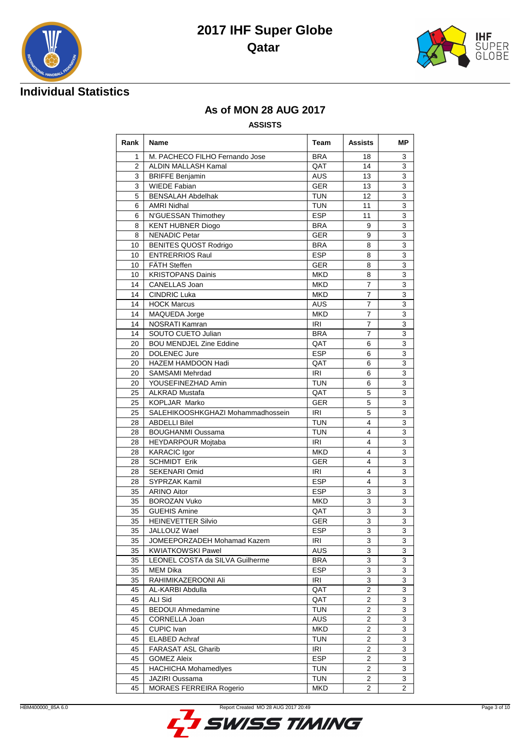





## **As of MON 28 AUG 2017**

#### **ASSISTS**

| Rank           | Name                              | Team       | Assists        | MР             |
|----------------|-----------------------------------|------------|----------------|----------------|
| 1              | M. PACHECO FILHO Fernando Jose    | <b>BRA</b> | 18             | 3              |
| $\overline{2}$ | ALDIN MALLASH Kamal               | QAT        | 14             | 3              |
| 3              | <b>BRIFFE Benjamin</b>            | <b>AUS</b> | 13             | 3              |
| 3              | <b>WIEDE Fabian</b>               | <b>GER</b> | 13             | 3              |
| 5              | <b>BENSALAH Abdelhak</b>          | <b>TUN</b> | 12             | 3              |
| 6              | <b>AMRI Nidhal</b>                | <b>TUN</b> | 11             | 3              |
| 6              | N'GUESSAN Thimothey               | <b>ESP</b> | 11             | 3              |
| 8              | <b>KENT HUBNER Diogo</b>          | <b>BRA</b> | 9              | 3              |
| 8              | <b>NENADIC Petar</b>              | <b>GER</b> | 9              | 3              |
| 10             | <b>BENITES QUOST Rodrigo</b>      | <b>BRA</b> | 8              | 3              |
| 10             | <b>ENTRERRIOS Raul</b>            | <b>ESP</b> | 8              | 3              |
| 10             | <b>FÄTH Steffen</b>               | <b>GER</b> | 8              | 3              |
| 10             | <b>KRISTOPANS Dainis</b>          | <b>MKD</b> | 8              | 3              |
| 14             | CANELLAS Joan                     | <b>MKD</b> | 7              | 3              |
| 14             | <b>CINDRIC Luka</b>               | <b>MKD</b> | $\overline{7}$ | 3              |
| 14             | <b>HOCK Marcus</b>                | AUS        | $\overline{7}$ | 3              |
| 14             | MAQUEDA Jorge                     | <b>MKD</b> | 7              | 3              |
| 14             | <b>NOSRATI Kamran</b>             | IRI        | 7              | 3              |
| 14             | SOUTO CUETO Julian                | <b>BRA</b> | 7              | 3              |
| 20             | <b>BOU MENDJEL Zine Eddine</b>    | QAT        | 6              | 3              |
| 20             | <b>DOLENEC Jure</b>               | <b>ESP</b> | 6              | 3              |
| 20             | HAZEM HAMDOON Hadi                | QAT        | 6              | 3              |
| 20             | SAMSAMI Mehrdad                   | <b>IRI</b> | 6              | 3              |
| 20             | YOUSEFINEZHAD Amin                | <b>TUN</b> | 6              | 3              |
| 25             | <b>ALKRAD Mustafa</b>             | QAT        | 5              | 3              |
| 25             | <b>KOPLJAR Marko</b>              | <b>GER</b> | 5              | 3              |
| 25             | SALEHIKOOSHKGHAZI Mohammadhossein | IRI        | 5              | 3              |
| 28             | <b>ABDELLI Bilel</b>              | <b>TUN</b> | 4              | 3              |
| 28             | <b>BOUGHANMI Oussama</b>          | <b>TUN</b> | 4              | 3              |
| 28             | HEYDARPOUR Mojtaba                | IRI        | 4              | 3              |
| 28             | <b>KARACIC Igor</b>               | <b>MKD</b> | 4              | 3              |
| 28             | <b>SCHMIDT Erik</b>               | <b>GER</b> | 4              | 3              |
| 28             | <b>SEKENARI Omid</b>              | IRI        | 4              | 3              |
| 28             | SYPRZAK Kamil                     | <b>ESP</b> | 4              | 3              |
| 35             | <b>ARINO Aitor</b>                | <b>ESP</b> | 3              | 3              |
| 35             | <b>BOROZAN Vuko</b>               | <b>MKD</b> | 3              | 3              |
| 35             | <b>GUEHIS Amine</b>               | QAT        | 3              | 3              |
| 35             | <b>HEINEVETTER Silvio</b>         | <b>GER</b> | 3              | 3              |
| 35             | JALLOUZ Wael                      | <b>ESP</b> | 3              | 3              |
| 35             | JOMEEPORZADEH Mohamad Kazem       | IRI        | 3              | 3              |
| 35             | KWIATKOWSKI Pawel                 | <b>AUS</b> | 3              | 3              |
| 35             | LEONEL COSTA da SILVA Guilherme   | <b>BRA</b> | 3              | 3              |
| 35             | MEM Dika                          | <b>ESP</b> | 3              | 3              |
| 35             | RAHIMIKAZEROONI Ali               | IRI        | 3              | 3              |
| 45             | AL-KARBI Abdulla                  | QAT        | 2              | 3              |
| 45             | ALI Sid                           | QAT        | 2              | 3              |
| 45             | <b>BEDOUI Ahmedamine</b>          | <b>TUN</b> | $\overline{2}$ | 3              |
| 45             | CORNELLA Joan                     | <b>AUS</b> | 2              | 3              |
| 45             | CUPIC Ivan                        | <b>MKD</b> | 2              | 3              |
| 45             | <b>ELABED Achraf</b>              | <b>TUN</b> | 2              | 3              |
| 45             | FARASAT ASL Gharib                | <b>IRI</b> | 2              | 3              |
| 45             | <b>GOMEZ Aleix</b>                | <b>ESP</b> | 2              | 3              |
| 45             | <b>HACHICHA Mohamedlyes</b>       | <b>TUN</b> | 2              | 3              |
| 45             | JAZIRI Oussama                    | <b>TUN</b> | 2              | 3              |
| 45             | MORAES FERREIRA Rogerio           | <b>MKD</b> | $\overline{2}$ | $\overline{2}$ |

HBM400000\_85A 6.0 Report Created MO 28 AUG 2017 20:49

**SWISS TIMING**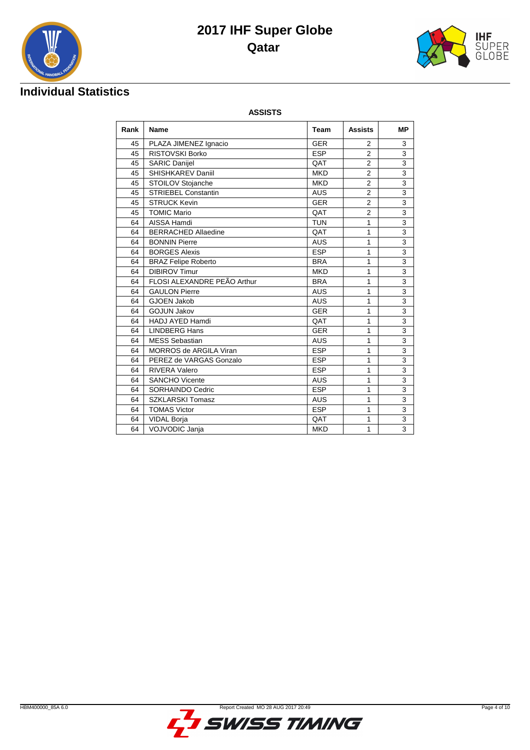



## **Individual Statistics**

**ASSISTS**

| Rank | <b>Name</b>                   | <b>Team</b>           | <b>Assists</b> | <b>MP</b>                 |  |  |  |
|------|-------------------------------|-----------------------|----------------|---------------------------|--|--|--|
| 45   | PLAZA JIMENEZ Ignacio         | <b>GER</b>            | 2              | 3                         |  |  |  |
| 45   | <b>RISTOVSKI Borko</b>        | <b>ESP</b>            | $\overline{2}$ | 3                         |  |  |  |
| 45   | <b>SARIC Danijel</b>          | QAT                   | $\overline{2}$ | 3                         |  |  |  |
| 45   | <b>SHISHKAREV Daniil</b>      | <b>MKD</b>            | $\overline{2}$ | 3                         |  |  |  |
| 45   | STOILOV Stojanche             | <b>MKD</b>            | $\overline{2}$ | 3                         |  |  |  |
| 45   | <b>STRIEBEL Constantin</b>    | <b>AUS</b>            | $\overline{2}$ | 3                         |  |  |  |
| 45   | <b>STRUCK Kevin</b>           | <b>GER</b>            | $\overline{2}$ | 3                         |  |  |  |
| 45   | <b>TOMIC Mario</b>            | $\overline{2}$<br>QAT |                |                           |  |  |  |
| 64   | AISSA Hamdi                   | <b>TUN</b>            | 1              | 3                         |  |  |  |
| 64   | <b>BERRACHED Allaedine</b>    | QAT                   | 1              | 3                         |  |  |  |
| 64   | <b>BONNIN Pierre</b>          | <b>AUS</b>            | 1              | $\overline{\overline{3}}$ |  |  |  |
| 64   | <b>BORGES Alexis</b>          | <b>ESP</b>            | 1              | 3                         |  |  |  |
| 64   | <b>BRAZ Felipe Roberto</b>    | <b>BRA</b>            | 1              | 3                         |  |  |  |
| 64   | <b>DIBIROV Timur</b>          | <b>MKD</b>            | 1              | $\overline{\overline{3}}$ |  |  |  |
| 64   | FLOSI ALEXANDRE PEÃO Arthur   | <b>BRA</b>            | $\mathbf{1}$   | 3                         |  |  |  |
| 64   | <b>GAULON Pierre</b>          | <b>AUS</b>            | 1              | 3                         |  |  |  |
| 64   | <b>GJOEN Jakob</b>            | <b>AUS</b>            | 1              | $\overline{\mathbf{3}}$   |  |  |  |
| 64   | <b>GOJUN Jakov</b>            | <b>GER</b>            | 1              | 3                         |  |  |  |
| 64   | <b>HADJ AYED Hamdi</b>        | QAT                   | $\mathbf{1}$   | 3                         |  |  |  |
| 64   | <b>LINDBERG Hans</b>          | <b>GER</b>            | $\mathbf{1}$   | $\overline{3}$            |  |  |  |
| 64   | <b>MESS Sebastian</b>         | <b>AUS</b>            | 1              | 3                         |  |  |  |
| 64   | <b>MORROS de ARGILA Viran</b> | <b>ESP</b>            | 1              | 3                         |  |  |  |
| 64   | PEREZ de VARGAS Gonzalo       | <b>ESP</b>            | 1              | 3                         |  |  |  |
| 64   | <b>RIVERA Valero</b>          | <b>ESP</b>            | 1              | 3                         |  |  |  |
| 64   | <b>SANCHO Vicente</b>         | <b>AUS</b>            | 1              | $\overline{\mathbf{3}}$   |  |  |  |
| 64   | SORHAINDO Cedric              | <b>ESP</b>            | 1              | 3                         |  |  |  |
| 64   | <b>SZKLARSKI Tomasz</b>       | <b>AUS</b>            | 1              | 3                         |  |  |  |
| 64   | <b>TOMAS Victor</b>           | <b>ESP</b>            | $\mathbf{1}$   | 3                         |  |  |  |
| 64   | <b>VIDAL Borja</b>            | QAT                   | 1              | 3                         |  |  |  |
| 64   | <b>VOJVODIC Jania</b>         | <b>MKD</b>            | 1              | 3                         |  |  |  |

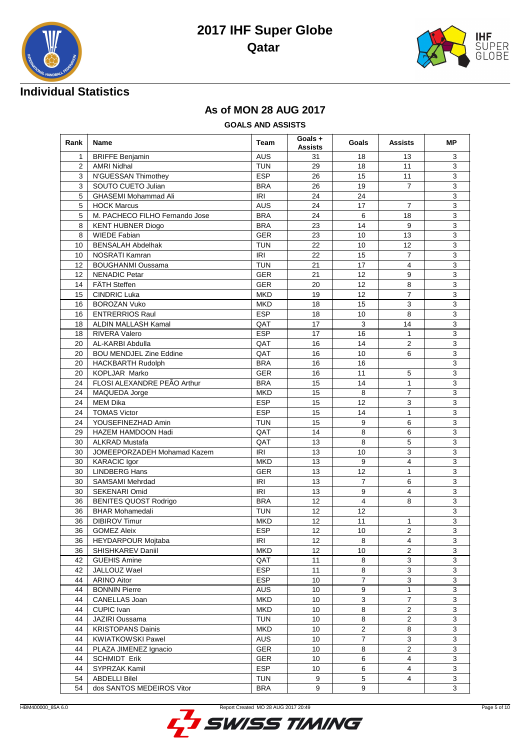



## **Individual Statistics**

#### **As of MON 28 AUG 2017**

**GOALS AND ASSISTS**

| Rank | <b>Name</b>                                 | <b>Team</b>            | Goals +<br><b>Assists</b> | Goals          | <b>Assists</b>          | МP             |
|------|---------------------------------------------|------------------------|---------------------------|----------------|-------------------------|----------------|
| 1    | <b>BRIFFE Benjamin</b>                      | <b>AUS</b>             | 31                        | 18             | 13                      | 3              |
| 2    | <b>AMRI Nidhal</b>                          | <b>TUN</b>             | 29                        | 18             | 11                      | 3              |
| 3    | N'GUESSAN Thimothey                         | <b>ESP</b>             | 26                        | 15             | 11                      | 3              |
| 3    | SOUTO CUETO Julian                          | <b>BRA</b>             | 26                        | 19             | $\overline{7}$          | $\overline{3}$ |
| 5    | <b>GHASEMI Mohammad Ali</b>                 | <b>IRI</b>             | 24                        | 24             |                         | 3              |
| 5    | <b>HOCK Marcus</b>                          | <b>AUS</b>             | 24                        | 17             | $\overline{7}$          | 3              |
| 5    | M. PACHECO FILHO Fernando Jose              | <b>BRA</b>             | 24                        | 6              | 18                      | 3              |
| 8    | <b>KENT HUBNER Diogo</b>                    | <b>BRA</b>             | 23                        | 14             | 9                       | 3              |
| 8    | <b>WIEDE Fabian</b>                         | <b>GER</b>             | 23                        | 10             | 13                      | $\overline{3}$ |
| 10   | <b>BENSALAH Abdelhak</b>                    | <b>TUN</b>             | 22                        | 10             | 12                      | $\overline{3}$ |
| 10   | <b>NOSRATI Kamran</b>                       | <b>IRI</b>             | 22                        | 15             | $\overline{7}$          | 3              |
| 12   | <b>BOUGHANMI Oussama</b>                    | <b>TUN</b>             | 21                        | 17             | $\overline{\mathbf{4}}$ | 3              |
| 12   | <b>NENADIC Petar</b>                        | <b>GER</b>             | 21                        | 12             | 9                       | 3              |
| 14   | FÄTH Steffen                                | <b>GER</b>             | 20                        | 12             | 8                       | 3              |
| 15   | <b>CINDRIC Luka</b>                         | <b>MKD</b>             | 19                        | 12             | $\overline{7}$          | $\mathsf 3$    |
| 16   | <b>BOROZAN Vuko</b>                         | <b>MKD</b>             | 18                        | 15             | 3                       | 3              |
| 16   | <b>ENTRERRIOS Raul</b>                      | ESP                    | 18                        | 10             | 8                       | $\overline{3}$ |
| 18   | ALDIN MALLASH Kamal                         | QAT                    | 17                        | 3              | 14                      | 3              |
| 18   | <b>RIVERA Valero</b>                        | <b>ESP</b>             | 17                        | 16             | 1                       | 3              |
| 20   | AL-KARBI Abdulla                            | QAT                    | 16                        | 14             | $\overline{2}$          | 3              |
| 20   | <b>BOU MENDJEL Zine Eddine</b>              | QAT                    | 16                        | 10             | 6                       | 3              |
| 20   | <b>HACKBARTH Rudolph</b>                    | <b>BRA</b>             | 16                        | 16             |                         | 3              |
| 20   | KOPLJAR Marko<br><b>GER</b><br>16           |                        | 11                        | 5              | 3                       |                |
| 24   | FLOSI ALEXANDRE PEÃO Arthur<br><b>BRA</b>   |                        | 15                        | 14             | $\mathbf{1}$            | 3              |
| 24   | MAQUEDA Jorge                               | <b>MKD</b>             | 15                        | 8              | $\overline{7}$          | 3              |
| 24   | <b>MEM Dika</b>                             | <b>ESP</b>             | 15                        | 12             | 3                       | 3              |
| 24   | <b>TOMAS Victor</b>                         | <b>ESP</b>             | 15                        | 14             | 1                       | 3              |
| 24   | YOUSEFINEZHAD Amin<br><b>TUN</b>            |                        | 15                        | 9              | 6                       | $\mathsf 3$    |
| 29   | 14<br>8<br>HAZEM HAMDOON Hadi<br>QAT        |                        | 6                         | $\overline{3}$ |                         |                |
| 30   | ALKRAD Mustafa                              | 13<br>8<br>QAT         |                           | 5              | $\overline{3}$          |                |
| 30   | JOMEEPORZADEH Mohamad Kazem                 | <b>IRI</b><br>13<br>10 |                           | 3              | 3                       |                |
| 30   | <b>KARACIC Igor</b>                         | <b>MKD</b>             | 13                        | 9              |                         | 3              |
| 30   | <b>LINDBERG Hans</b>                        | <b>GER</b>             | 13                        | 12             | 1                       | 3              |
| 30   | <b>SAMSAMI Mehrdad</b>                      | <b>IRI</b>             | 13                        | $\overline{7}$ | 6                       | 3              |
| 30   | SEKENARI Omid                               | <b>IRI</b>             | 13                        | 9              | 4                       | 3              |
| 36   | BENITES QUOST Rodrigo                       | <b>BRA</b>             | 12                        | $\overline{4}$ | 8                       | 3              |
| 36   | <b>BHAR Mohamedali</b>                      | <b>TUN</b>             | 12                        | 12             |                         | 3              |
| 36   | <b>DIBIROV Timur</b>                        | <b>MKD</b>             | 12                        | 11             | 1                       | 3              |
| 36   | <b>GOMEZ Aleix</b>                          | <b>ESP</b>             | 12                        | 10             | $\overline{c}$          | 3              |
| 36   | HEYDARPOUR Mojtaba                          | <b>IRI</b>             | 12                        | 8              | 4                       | 3              |
| 36   | SHISHKAREV Daniil<br><b>MKD</b><br>10<br>12 |                        | 2                         | 3              |                         |                |
| 42   | <b>GUEHIS Amine</b><br>QAT                  |                        | 11                        | 8              | 3                       | $\overline{3}$ |
| 42   | <b>ESP</b><br>JALLOUZ Wael<br><b>ESP</b>    |                        | 11                        | 8              | 3                       | 3              |
| 44   | <b>ARINO Aitor</b>                          |                        | 10                        | $\overline{7}$ | 3                       | $\sqrt{3}$     |
| 44   | <b>BONNIN Pierre</b>                        | <b>AUS</b>             | 10                        | 9              | 1                       | 3              |
| 44   | CANELLAS Joan                               | <b>MKD</b>             | 10                        | 3              | $\overline{7}$          | 3              |
| 44   | CUPIC Ivan                                  | <b>MKD</b>             | 10                        | 8              | $\overline{c}$          | $\sqrt{3}$     |
| 44   | JAZIRI Oussama                              | <b>TUN</b>             | 10                        | 8              | $\overline{2}$          | 3              |
| 44   | <b>KRISTOPANS Dainis</b>                    | <b>MKD</b>             | 10                        | $\overline{2}$ | 8                       | $\overline{3}$ |
| 44   | <b>KWIATKOWSKI Pawel</b>                    | AUS                    | 10                        | $\overline{7}$ | 3                       | 3              |
| 44   | PLAZA JIMENEZ Ignacio                       | GER                    | 10                        | 8              | $\overline{2}$          | 3              |
| 44   | <b>SCHMIDT Erik</b>                         | <b>GER</b>             | 10                        | 6              | 4                       | 3              |
| 44   | SYPRZAK Kamil                               | <b>ESP</b>             | 10                        | 6              | 4                       | 3              |
| 54   | <b>ABDELLI Bilel</b>                        | TUN                    | 9                         | $\,$ 5 $\,$    | 4                       | $\mathbf{3}$   |
| 54   | dos SANTOS MEDEIROS Vitor                   | <b>BRA</b>             | 9                         | 9              |                         | 3              |

HBM400000\_85A 6.0 Report Created MO 28 AUG 2017 20:49

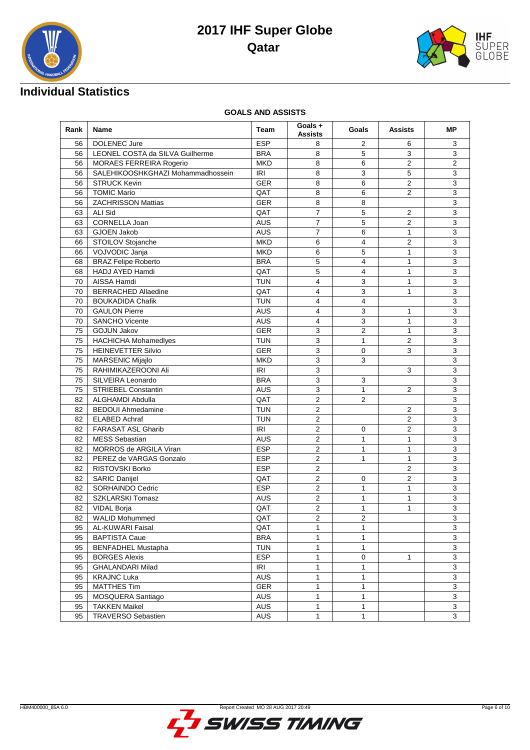



## **Individual Statistics**

#### **GOALS AND ASSISTS**

| Rank     | Name                                                    | Team                                                                | Goals +<br><b>Assists</b> | Goals                   | <b>Assists</b> | МP             |
|----------|---------------------------------------------------------|---------------------------------------------------------------------|---------------------------|-------------------------|----------------|----------------|
| 56       | DOLENEC Jure                                            | <b>ESP</b>                                                          | 8                         | 2                       | 6              | 3              |
| 56       | LEONEL COSTA da SILVA Guilherme                         | <b>BRA</b>                                                          | 8                         | 5                       | 3              | 3              |
| 56       | MORAES FERREIRA Rogerio                                 | <b>MKD</b>                                                          | 8                         | 6                       | $\overline{2}$ | $\mathbf{2}$   |
| 56       | SALEHIKOOSHKGHAZI Mohammadhossein                       | <b>IRI</b>                                                          | 8                         | 3                       | 5              | 3              |
| 56       | <b>STRUCK Kevin</b>                                     | <b>GER</b>                                                          | 8                         | 6                       | $\overline{2}$ | 3              |
| 56       | <b>TOMIC Mario</b>                                      | QAT                                                                 | 8                         | 6                       | 2              | 3              |
| 56       | <b>ZACHRISSON Mattias</b>                               | <b>GER</b>                                                          | 8                         | 8                       |                | 3              |
| 63       | ALI Sid                                                 | QAT                                                                 | $\overline{7}$            | 5                       | 2              | 3              |
| 63       | CORNELLA Joan                                           | <b>AUS</b>                                                          | $\overline{7}$            | 5                       | $\overline{2}$ | $\overline{3}$ |
| 63       | <b>GJOEN Jakob</b>                                      | <b>AUS</b>                                                          | $\overline{7}$            | 6                       | $\mathbf{1}$   | 3              |
| 66       | STOILOV Stojanche                                       | <b>MKD</b>                                                          | 6                         | $\overline{\mathbf{4}}$ | 2              | 3              |
| 66       | VOJVODIC Janja                                          | <b>MKD</b>                                                          | 6                         | 5                       | 1              | 3              |
| 68       | <b>BRAZ Felipe Roberto</b>                              | <b>BRA</b>                                                          | 5                         | $\overline{4}$          | 1              | 3              |
| 68       | HADJ AYED Hamdi                                         | QAT                                                                 | 5                         | $\overline{4}$          | 1              | 3              |
| 70       | AISSA Hamdi                                             | <b>TUN</b>                                                          | $\overline{4}$            | 3                       | 1              | 3              |
| 70       | <b>BERRACHED Allaedine</b>                              | QAT                                                                 | $\overline{4}$            | 3                       | 1              | 3              |
| 70       | <b>BOUKADIDA Chafik</b>                                 | <b>TUN</b>                                                          | 4                         | $\overline{4}$          |                | 3              |
| 70       | <b>GAULON Pierre</b>                                    | <b>AUS</b>                                                          | $\overline{4}$            | 3                       | 1              | 3              |
| 70       | <b>SANCHO Vicente</b>                                   | <b>AUS</b>                                                          | 4                         | 3                       | 1              | 3              |
| 75       | $\overline{2}$<br><b>GOJUN Jakov</b><br><b>GER</b><br>3 |                                                                     |                           | 1                       | $\overline{3}$ |                |
| 75       | <b>HACHICHA Mohamedlyes</b><br><b>TUN</b>               |                                                                     | $\overline{3}$            | $\mathbf{1}$            | $\overline{c}$ | $\overline{3}$ |
| 75       | <b>HEINEVETTER Silvio</b><br>3<br><b>GER</b>            |                                                                     | $\mathbf 0$               | 3                       | 3              |                |
| 75       | <b>MKD</b><br><b>MARSENIC Mijajlo</b>                   |                                                                     | 3                         | 3                       |                | 3              |
| 75       | RAHIMIKAZEROONI Ali                                     | IRI                                                                 | 3                         |                         | 3              | 3              |
| 75       | <b>BRA</b><br>3<br>SILVEIRA Leonardo<br>3               |                                                                     |                           | 3                       |                |                |
| 75       | <b>STRIEBEL Constantin</b>                              | 3<br><b>AUS</b>                                                     |                           | $\mathbf{1}$            | 2              | 3              |
| 82       | ALGHAMDI Abdulla                                        | QAT                                                                 | $\overline{2}$            | $\overline{2}$          |                | 3              |
| 82       | <b>BEDOUI Ahmedamine</b>                                | <b>TUN</b>                                                          | $\overline{2}$            |                         | 2              | $\overline{3}$ |
| 82       | <b>ELABED Achraf</b>                                    | <b>TUN</b>                                                          | $\overline{c}$            |                         | 2              | 3              |
| 82       | <b>FARASAT ASL Gharib</b>                               | <b>IRI</b>                                                          | $\overline{2}$            | 0                       | $\overline{2}$ | 3              |
| 82       | <b>MESS Sebastian</b>                                   | <b>AUS</b>                                                          | $\overline{2}$            | $\mathbf{1}$            | 1              | 3              |
| 82       | MORROS de ARGILA Viran                                  | <b>ESP</b>                                                          | $\overline{c}$            | 1                       | 1              | 3              |
| 82       | PEREZ de VARGAS Gonzalo                                 | <b>ESP</b>                                                          | $\overline{2}$            | 1                       | 1              | 3              |
| 82       | RISTOVSKI Borko                                         | <b>ESP</b>                                                          | $\overline{2}$            |                         | 2              | 3              |
| 82       | <b>SARIC Danijel</b>                                    | QAT                                                                 | $\overline{c}$            | 0                       | 2              | 3              |
| 82       | SORHAINDO Cedric                                        | <b>ESP</b>                                                          | $\overline{2}$            | 1                       | 1              | 3              |
| 82       | <b>SZKLARSKI Tomasz</b>                                 | <b>AUS</b>                                                          |                           | $\overline{c}$<br>1     |                | 3              |
| 82       | <b>VIDAL Borja</b>                                      | QAT<br>1                                                            |                           | 1<br>1                  | 3              |                |
| 82       | <b>WALID Mohummed</b>                                   |                                                                     | $\overline{c}$            |                         |                | 3              |
| 95       | AL-KUWARI Faisal                                        | $\overline{2}$<br>$\overline{2}$<br>QAT<br>QAT<br>$\mathbf{1}$<br>1 |                           |                         | 3              |                |
| 95       | <b>BAPTISTA Caue</b>                                    | <b>BRA</b>                                                          | 1                         | 1                       |                | 3              |
| 95       | <b>BENFADHEL Mustapha</b>                               | <b>TUN</b>                                                          | $\mathbf{1}$              | 1                       |                | 3              |
|          | <b>BORGES Alexis</b>                                    | <b>ESP</b>                                                          | $\mathbf{1}$              |                         | 1              | 3              |
| 95       |                                                         | IRI                                                                 | $\mathbf{1}$              | 0                       |                |                |
| 95       | GHALANDARI Milad                                        |                                                                     |                           | 1                       |                | 3              |
| 95<br>95 | <b>KRAJNC Luka</b>                                      | <b>AUS</b>                                                          | 1<br>$\mathbf{1}$         | 1<br>$\mathbf{1}$       |                | 3<br>3         |
|          | <b>MATTHES Tim</b>                                      | GER                                                                 |                           |                         |                | $\overline{3}$ |
| 95       | MOSQUERA Santiago                                       | <b>AUS</b>                                                          | $\mathbf{1}$              | 1                       |                |                |
| 95       | <b>TAKKEN Maikel</b>                                    | <b>AUS</b>                                                          | $\mathbf{1}$              | 1                       |                | 3              |
| 95       | <b>TRAVERSO Sebastien</b>                               | AUS                                                                 | $\mathbf{1}$              | 1                       |                | 3              |

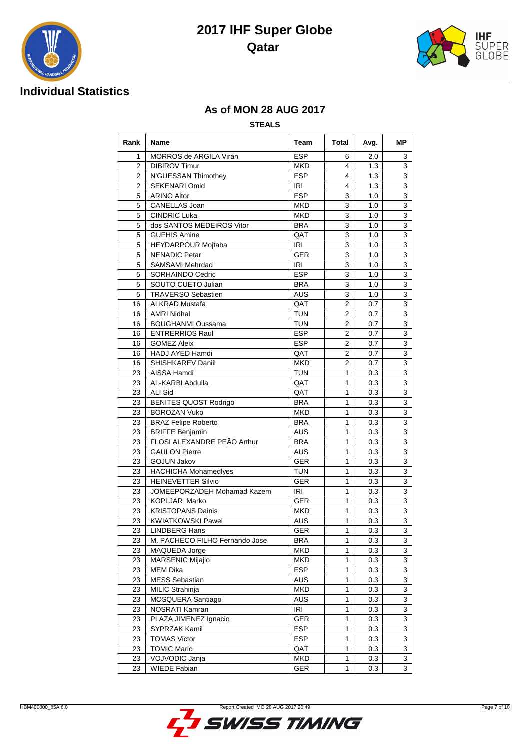



## **Individual Statistics**

#### **As of MON 28 AUG 2017**

#### **STEALS**

| Rank           | Name                           | Team              | Total             | Avg. |                           |  |  |
|----------------|--------------------------------|-------------------|-------------------|------|---------------------------|--|--|
| 1              | MORROS de ARGILA Viran         | <b>ESP</b>        | 6                 | 2.0  | 3                         |  |  |
| $\overline{2}$ | <b>DIBIROV Timur</b>           | <b>MKD</b>        | 4                 | 1.3  | 3                         |  |  |
| $\overline{2}$ | N'GUESSAN Thimothey            | <b>ESP</b>        | 4                 | 1.3  | 3                         |  |  |
| 2              | <b>SEKENARI Omid</b>           | <b>IRI</b>        | 4                 | 1.3  | 3                         |  |  |
| 5              | <b>ARINO Aitor</b>             | <b>ESP</b>        | 3                 | 1.0  | 3                         |  |  |
| 5              | CANELLAS Joan                  | <b>MKD</b>        | 3                 | 1.0  | 3                         |  |  |
| 5              | <b>CINDRIC Luka</b>            | <b>MKD</b>        | 3                 | 1.0  | 3                         |  |  |
| 5              | dos SANTOS MEDEIROS Vitor      | <b>BRA</b>        | 3                 | 1.0  | 3                         |  |  |
| 5              | <b>GUEHIS Amine</b>            | QAT               | $\overline{3}$    | 1.0  | $\overline{3}$            |  |  |
| 5              | HEYDARPOUR Mojtaba             | IRI               | 3                 | 1.0  | $\overline{3}$            |  |  |
| 5              | <b>NENADIC Petar</b>           | <b>GER</b>        | 3                 | 1.0  | 3                         |  |  |
| 5              | <b>SAMSAMI Mehrdad</b>         | IRI               | 3                 | 1.0  | 3                         |  |  |
| 5              | SORHAINDO Cedric               | <b>ESP</b>        | 3                 | 1.0  | 3                         |  |  |
| 5              | SOUTO CUETO Julian             | <b>BRA</b>        | 3                 | 1.0  | 3                         |  |  |
| 5              | <b>TRAVERSO Sebastien</b>      | <b>AUS</b>        | 3                 | 1.0  | $\overline{3}$            |  |  |
| 16             | <b>ALKRAD Mustafa</b>          | QAT               | 2                 | 0.7  | 3                         |  |  |
| 16             | <b>AMRI Nidhal</b>             | <b>TUN</b>        | $\overline{2}$    | 0.7  | 3                         |  |  |
| 16             | <b>BOUGHANMI Oussama</b>       | <b>TUN</b>        | $\overline{2}$    | 0.7  | 3                         |  |  |
| 16             | <b>ENTRERRIOS Raul</b>         | <b>ESP</b>        | $\overline{2}$    | 0.7  | 3                         |  |  |
| 16             | <b>GOMEZ Aleix</b>             | <b>ESP</b>        | 2                 | 0.7  | 3                         |  |  |
| 16             | HADJ AYED Hamdi                | QAT               | $\overline{2}$    | 0.7  | 3                         |  |  |
| 16             | SHISHKAREV Daniil              | <b>MKD</b>        | $\overline{2}$    | 0.7  | 3                         |  |  |
| 23             | AISSA Hamdi                    | <b>TUN</b>        | 1                 | 0.3  | $\overline{3}$            |  |  |
| 23             | AL-KARBI Abdulla               | QAT               | 1                 | 0.3  | 3                         |  |  |
| 23             | <b>ALI Sid</b>                 | QAT               | 1                 | 0.3  | 3                         |  |  |
| 23             | <b>BENITES QUOST Rodrigo</b>   | <b>BRA</b>        | 1                 | 0.3  | 3                         |  |  |
| 23             | <b>BOROZAN Vuko</b>            | <b>MKD</b>        | 1                 | 0.3  | 3                         |  |  |
| 23             | <b>BRAZ Felipe Roberto</b>     | <b>BRA</b>        | $\mathbf{1}$      | 0.3  | $\overline{3}$            |  |  |
| 23             | <b>BRIFFE Benjamin</b>         | <b>AUS</b>        | 1                 | 0.3  | 3                         |  |  |
| 23             | FLOSI ALEXANDRE PEÃO Arthur    | <b>BRA</b>        | $\mathbf{1}$      | 0.3  | 3                         |  |  |
| 23             | <b>GAULON Pierre</b>           | <b>AUS</b>        | 1                 | 0.3  | 3                         |  |  |
| 23             | <b>GOJUN Jakov</b>             | GER               | 1                 | 0.3  | 3                         |  |  |
| 23             | <b>HACHICHA Mohamedlyes</b>    | <b>TUN</b>        | 1                 | 0.3  | 3                         |  |  |
| 23             | <b>HEINEVETTER Silvio</b>      | <b>GER</b>        | $\mathbf{1}$      | 0.3  | $\overline{\mathbf{3}}$   |  |  |
| 23             | JOMEEPORZADEH Mohamad Kazem    | IRI               | 1                 | 0.3  | 3                         |  |  |
| 23             | KOPLJAR Marko                  | <b>GER</b>        | $\mathbf{1}$      | 0.3  | $\ensuremath{\mathsf{3}}$ |  |  |
| 23             | <b>KRISTOPANS Dainis</b>       | <b>MKD</b>        | $\mathbf{1}$      | 0.3  | 3                         |  |  |
| 23             | <b>KWIATKOWSKI Pawel</b>       | <b>AUS</b>        | 1                 | 0.3  | 3                         |  |  |
| 23             | <b>LINDBERG Hans</b>           | <b>GER</b>        | $\mathbf{1}$      | 0.3  | 3                         |  |  |
| 23             | M. PACHECO FILHO Fernando Jose | <b>BRA</b>        | 1                 | 0.3  | 3                         |  |  |
| 23             | MAQUEDA Jorge                  | <b>MKD</b>        | 1                 | 0.3  | 3                         |  |  |
|                | MARSENIC Mijajlo               | <b>MKD</b>        | $\mathbf{1}$      | 0.3  | 3                         |  |  |
| 23<br>23       | <b>MEM Dika</b>                | <b>ESP</b>        | 1                 | 0.3  | 3                         |  |  |
| 23             | <b>MESS Sebastian</b>          | <b>AUS</b>        | $\mathbf{1}$      | 0.3  | 3                         |  |  |
| 23             | MILIC Strahinja                | <b>MKD</b>        | 1                 | 0.3  | 3                         |  |  |
|                |                                |                   | $\mathbf{1}$      |      |                           |  |  |
| 23             | MOSQUERA Santiago              | AUS               |                   | 0.3  | 3                         |  |  |
| 23             | NOSRATI Kamran                 | <b>IRI</b>        | $\mathbf{1}$      | 0.3  | 3                         |  |  |
| 23             | PLAZA JIMENEZ Ignacio          | GER<br><b>ESP</b> | 1<br>$\mathbf{1}$ | 0.3  | 3                         |  |  |
| 23             | SYPRZAK Kamil                  |                   |                   | 0.3  | 3                         |  |  |
| 23             | <b>TOMAS Victor</b>            | <b>ESP</b>        | 1                 | 0.3  | 3                         |  |  |
| 23             | <b>TOMIC Mario</b>             | QAT               | 1                 | 0.3  | 3                         |  |  |
| 23             | VOJVODIC Janja                 | <b>MKD</b>        | 1                 | 0.3  | 3                         |  |  |
| 23             | <b>WIEDE Fabian</b>            | GER               | 1                 | 0.3  | $\overline{3}$            |  |  |

5,

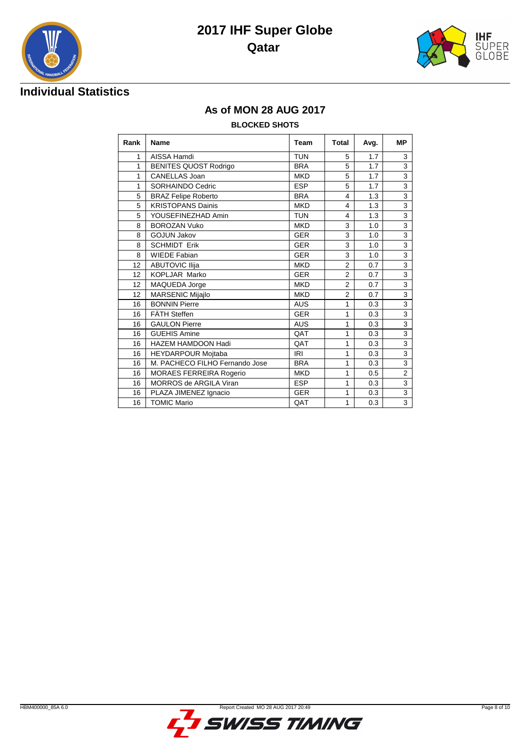



# **IHF** ....<br>SUPER<br>GLOBE

#### **As of MON 28 AUG 2017**

#### **BLOCKED SHOTS**

| Rank | <b>Name</b>                    | Team       | Total          | Avg. | <b>MP</b>                 |
|------|--------------------------------|------------|----------------|------|---------------------------|
| 1    | AISSA Hamdi                    | <b>TUN</b> | 5              | 1.7  | 3                         |
| 1    | <b>BENITES QUOST Rodrigo</b>   | <b>BRA</b> | 5              | 1.7  | 3                         |
| 1    | <b>CANELLAS Joan</b>           | <b>MKD</b> | 5              | 1.7  | 3                         |
| 1    | <b>SORHAINDO Cedric</b>        | <b>ESP</b> | 5              | 1.7  | 3                         |
| 5    | <b>BRAZ Felipe Roberto</b>     | <b>BRA</b> | 4              | 1.3  | 3                         |
| 5    | <b>KRISTOPANS Dainis</b>       | <b>MKD</b> | 4              | 1.3  | 3                         |
| 5    | YOUSEFINEZHAD Amin             | <b>TUN</b> | 4              | 1.3  | 3                         |
| 8    | <b>BOROZAN Vuko</b>            | <b>MKD</b> | 3              | 1.0  | 3                         |
| 8    | <b>GOJUN Jakov</b>             | <b>GER</b> | 3              | 1.0  | 3                         |
| 8    | <b>SCHMIDT Erik</b>            | <b>GER</b> | 3              | 1.0  | $\overline{3}$            |
| 8    | <b>WIEDE Fabian</b>            | <b>GER</b> | 3              | 1.0  | 3                         |
| 12   | <b>ABUTOVIC Ilija</b>          | <b>MKD</b> | $\overline{2}$ | 0.7  | 3                         |
| 12   | <b>KOPLJAR Marko</b>           | <b>GER</b> | $\overline{2}$ | 0.7  | $\overline{3}$            |
| 12   | MAQUEDA Jorge                  | <b>MKD</b> | $\overline{2}$ | 0.7  | $\overline{\overline{3}}$ |
| 12   | MARSENIC Mijajlo               | <b>MKD</b> | $\overline{2}$ | 0.7  | 3                         |
| 16   | <b>BONNIN Pierre</b>           | <b>AUS</b> | 1              | 0.3  | 3                         |
| 16   | FÄTH Steffen                   | <b>GER</b> | $\mathbf{1}$   | 0.3  | $\overline{3}$            |
| 16   | <b>GAULON Pierre</b>           | <b>AUS</b> | $\mathbf{1}$   | 0.3  | 3                         |
| 16   | <b>GUEHIS Amine</b>            | QAT        | 1              | 0.3  | 3                         |
| 16   | <b>HAZEM HAMDOON Hadi</b>      | QAT        | 1              | 0.3  | 3                         |
| 16   | HEYDARPOUR Mojtaba             | <b>IRI</b> | 1              | 0.3  | 3                         |
| 16   | M. PACHECO FILHO Fernando Jose | <b>BRA</b> | 1              | 0.3  | $\overline{3}$            |
| 16   | <b>MORAES FERREIRA Rogerio</b> | <b>MKD</b> | 1              | 0.5  | $\overline{2}$            |
| 16   | <b>MORROS de ARGILA Viran</b>  | <b>ESP</b> | 1              | 0.3  | 3                         |
| 16   | PLAZA JIMENEZ Ignacio          | <b>GER</b> | 1              | 0.3  | $\overline{3}$            |
| 16   | <b>TOMIC Mario</b>             | QAT        | 1              | 0.3  | 3                         |

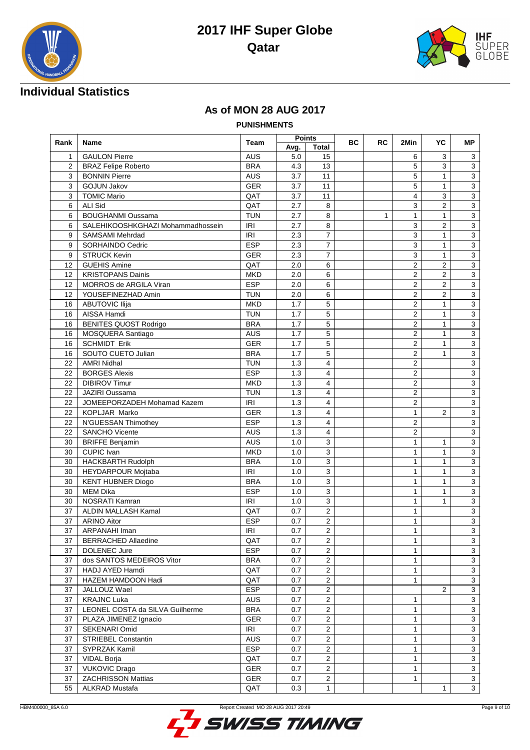



## **Individual Statistics**

#### **As of MON 28 AUG 2017**

**PUNISHMENTS**

| Avg.<br><b>Total</b><br><b>AUS</b><br><b>GAULON Pierre</b><br>5.0<br>15<br>3<br>1<br>6<br>3<br><b>BRA</b><br>5<br>3<br>$\overline{2}$<br><b>BRAZ Felipe Roberto</b><br>13<br>3<br>4.3<br>3<br>5<br><b>AUS</b><br>3.7<br>11<br>$\mathbf{1}$<br>$\mathbf{3}$<br><b>BONNIN Pierre</b><br>11<br>5<br>$\mathbf{1}$<br>$\overline{3}$<br>3<br><b>GOJUN Jakov</b><br><b>GER</b><br>3.7<br>3<br><b>TOMIC Mario</b><br>QAT<br>4<br>$\sqrt{3}$<br>$\mathbf{3}$<br>3.7<br>11<br><b>ALI Sid</b><br>QAT<br>$\mathbf{3}$<br>6<br>2.7<br>3<br>2<br>8<br>$\overline{3}$<br><b>BOUGHANMI Oussama</b><br><b>TUN</b><br>6<br>2.7<br>8<br>$\mathbf{1}$<br>$\mathbf{1}$<br>1<br>$\overline{3}$<br>IRI<br>3<br>$\overline{2}$<br>6<br>SALEHIKOOSHKGHAZI Mohammadhossein<br>2.7<br>8<br>$\overline{7}$<br>$\overline{3}$<br>9<br>$\mathbf{1}$<br>$\mathbf{3}$<br><b>IRI</b><br>2.3<br><b>SAMSAMI Mehrdad</b><br>$\overline{7}$<br>3<br>$\mathbf{1}$<br>$\overline{3}$<br>SORHAINDO Cedric<br><b>ESP</b><br>2.3<br>9<br>$\overline{7}$<br>$\overline{3}$<br><b>GER</b><br>2.3<br>3<br>$\mathbf{1}$<br>9<br><b>STRUCK Kevin</b><br>$\overline{3}$<br><b>GUEHIS Amine</b><br>QAT<br>2.0<br>$\overline{2}$<br>$\overline{2}$<br>12<br>6<br><b>KRISTOPANS Dainis</b><br><b>MKD</b><br>$\mathbf{3}$<br>2.0<br>6<br>2<br>$\mathbf{2}$<br>12<br><b>ESP</b><br>MORROS de ARGILA Viran<br>2<br>2<br>3<br>12<br>2.0<br>6<br>$\overline{2}$<br>$\overline{2}$<br>$\mathbf{3}$<br>12<br>YOUSEFINEZHAD Amin<br><b>TUN</b><br>2.0<br>6<br>$\overline{2}$<br>$\overline{3}$<br><b>MKD</b><br>1.7<br>5<br>$\mathbf{1}$<br>16<br><b>ABUTOVIC Ilija</b><br>5<br>$\overline{2}$<br>$\overline{3}$<br>AISSA Hamdi<br><b>TUN</b><br>1.7<br>$\mathbf{1}$<br>16<br>5<br>$\overline{2}$<br>$\mathbf{3}$<br><b>BENITES QUOST Rodrigo</b><br><b>BRA</b><br>1.7<br>$\mathbf{1}$<br>16<br><b>AUS</b><br>1.7<br>5<br>2<br>$\mathbf{3}$<br>MOSQUERA Santiago<br>$\mathbf{1}$<br>16<br><b>GER</b><br><b>SCHMIDT Erik</b><br>16<br>1.7<br>5<br>$\overline{2}$<br>3<br>1<br>5<br>$\overline{2}$<br>$\mathbf{3}$<br>SOUTO CUETO Julian<br><b>BRA</b><br>1.7<br>$\mathbf{1}$<br>16<br><b>TUN</b><br>$\overline{\mathbf{4}}$<br>$\overline{2}$<br>$\mathbf{3}$<br>22<br><b>AMRI Nidhal</b><br>1.3<br>1.3<br>$\overline{c}$<br>$\overline{3}$<br><b>BORGES Alexis</b><br><b>ESP</b><br>4<br>22<br><b>DIBIROV Timur</b><br><b>MKD</b><br>1.3<br>4<br>$\sqrt{2}$<br>$\mathbf{3}$<br>22<br>JAZIRI Oussama<br><b>TUN</b><br>1.3<br>4<br>2<br>3<br>22<br>JOMEEPORZADEH Mohamad Kazem<br>IRI<br>$\mathbf{3}$<br>22<br>1.3<br>4<br>2<br>KOPLJAR Marko<br><b>GER</b><br>3<br>1.3<br>2<br>22<br>4<br>$\mathbf{1}$<br><b>ESP</b><br>4<br>$\overline{2}$<br>$\mathbf{3}$<br>22<br>N'GUESSAN Thimothey<br>1.3<br>$\overline{c}$<br>$\overline{3}$<br>SANCHO Vicente<br><b>AUS</b><br>1.3<br>4<br>22<br><b>BRIFFE Benjamin</b><br>$\mathbf{3}$<br><b>AUS</b><br>1.0<br>3<br>30<br>$\mathbf{1}$<br>1<br>$\overline{3}$<br>CUPIC Ivan<br><b>MKD</b><br>$\mathbf{1}$<br>30<br>1.0<br>3<br>$\mathbf{1}$<br>$\mathbf{3}$<br>30<br><b>HACKBARTH Rudolph</b><br><b>BRA</b><br>1.0<br>3<br>$\mathbf{1}$<br>$\mathbf{1}$<br>HEYDARPOUR Mojtaba<br><b>IRI</b><br>3<br>30<br>1.0<br>3<br>$\mathbf{1}$<br>$\mathbf{1}$<br>3<br>$\mathbf{1}$<br>$\mathbf{3}$<br><b>KENT HUBNER Diogo</b><br><b>BRA</b><br>1<br>30<br>1.0<br>3<br><b>MEM Dika</b><br><b>ESP</b><br>$\mathbf{1}$<br>$\mathbf{1}$<br>$\mathbf{3}$<br>30<br>1.0<br>NOSRATI Kamran<br><b>IRI</b><br>1.0<br>3<br>1<br>$\mathbf{1}$<br>3<br>30<br>ALDIN MALLASH Kamal<br>QAT<br>$\overline{\mathbf{c}}$<br>$\mathbf{1}$<br>$\mathbf{3}$<br>37<br>0.7<br><b>ESP</b><br>$\overline{2}$<br>37<br><b>ARINO Aitor</b><br>0.7<br>1<br>3<br>$\mathbf{3}$<br>37<br>ARPANAHI Iman<br><b>IRI</b><br>0.7<br>$\overline{a}$<br>1<br>$\overline{c}$<br>$\mathbf{1}$<br>37<br><b>BERRACHED Allaedine</b><br>QAT<br>0.7<br>3<br><b>ESP</b><br>0.7<br>$\overline{2}$<br>$\mathbf{1}$<br>3<br>37<br><b>DOLENEC Jure</b><br>$\overline{3}$<br>$\overline{2}$<br>dos SANTOS MEDEIROS Vitor<br><b>BRA</b><br>$\mathbf{1}$<br>0.7<br>37<br>HADJ AYED Hamdi<br>QAT<br>$\overline{2}$<br>$\mathbf{1}$<br>$\mathbf{3}$<br>0.7<br>37 | Rank | <b>Name</b> | <b>Team</b> | <b>Points</b> | ВC | <b>RC</b> | 2Min | YC | МP |
|-------------------------------------------------------------------------------------------------------------------------------------------------------------------------------------------------------------------------------------------------------------------------------------------------------------------------------------------------------------------------------------------------------------------------------------------------------------------------------------------------------------------------------------------------------------------------------------------------------------------------------------------------------------------------------------------------------------------------------------------------------------------------------------------------------------------------------------------------------------------------------------------------------------------------------------------------------------------------------------------------------------------------------------------------------------------------------------------------------------------------------------------------------------------------------------------------------------------------------------------------------------------------------------------------------------------------------------------------------------------------------------------------------------------------------------------------------------------------------------------------------------------------------------------------------------------------------------------------------------------------------------------------------------------------------------------------------------------------------------------------------------------------------------------------------------------------------------------------------------------------------------------------------------------------------------------------------------------------------------------------------------------------------------------------------------------------------------------------------------------------------------------------------------------------------------------------------------------------------------------------------------------------------------------------------------------------------------------------------------------------------------------------------------------------------------------------------------------------------------------------------------------------------------------------------------------------------------------------------------------------------------------------------------------------------------------------------------------------------------------------------------------------------------------------------------------------------------------------------------------------------------------------------------------------------------------------------------------------------------------------------------------------------------------------------------------------------------------------------------------------------------------------------------------------------------------------------------------------------------------------------------------------------------------------------------------------------------------------------------------------------------------------------------------------------------------------------------------------------------------------------------------------------------------------------------------------------------------------------------------------------------------------------------------------------------------------------------------------------------------------------------------------------------------------------------------------------------------------------------------------------------------------------------------------------------------------------------------------------------------------------------------------------------------------------------------------------------------------------------------------------------------------------------------------------|------|-------------|-------------|---------------|----|-----------|------|----|----|
|                                                                                                                                                                                                                                                                                                                                                                                                                                                                                                                                                                                                                                                                                                                                                                                                                                                                                                                                                                                                                                                                                                                                                                                                                                                                                                                                                                                                                                                                                                                                                                                                                                                                                                                                                                                                                                                                                                                                                                                                                                                                                                                                                                                                                                                                                                                                                                                                                                                                                                                                                                                                                                                                                                                                                                                                                                                                                                                                                                                                                                                                                                                                                                                                                                                                                                                                                                                                                                                                                                                                                                                                                                                                                                                                                                                                                                                                                                                                                                                                                                                                                                                                                                               |      |             |             |               |    |           |      |    |    |
|                                                                                                                                                                                                                                                                                                                                                                                                                                                                                                                                                                                                                                                                                                                                                                                                                                                                                                                                                                                                                                                                                                                                                                                                                                                                                                                                                                                                                                                                                                                                                                                                                                                                                                                                                                                                                                                                                                                                                                                                                                                                                                                                                                                                                                                                                                                                                                                                                                                                                                                                                                                                                                                                                                                                                                                                                                                                                                                                                                                                                                                                                                                                                                                                                                                                                                                                                                                                                                                                                                                                                                                                                                                                                                                                                                                                                                                                                                                                                                                                                                                                                                                                                                               |      |             |             |               |    |           |      |    |    |
|                                                                                                                                                                                                                                                                                                                                                                                                                                                                                                                                                                                                                                                                                                                                                                                                                                                                                                                                                                                                                                                                                                                                                                                                                                                                                                                                                                                                                                                                                                                                                                                                                                                                                                                                                                                                                                                                                                                                                                                                                                                                                                                                                                                                                                                                                                                                                                                                                                                                                                                                                                                                                                                                                                                                                                                                                                                                                                                                                                                                                                                                                                                                                                                                                                                                                                                                                                                                                                                                                                                                                                                                                                                                                                                                                                                                                                                                                                                                                                                                                                                                                                                                                                               |      |             |             |               |    |           |      |    |    |
|                                                                                                                                                                                                                                                                                                                                                                                                                                                                                                                                                                                                                                                                                                                                                                                                                                                                                                                                                                                                                                                                                                                                                                                                                                                                                                                                                                                                                                                                                                                                                                                                                                                                                                                                                                                                                                                                                                                                                                                                                                                                                                                                                                                                                                                                                                                                                                                                                                                                                                                                                                                                                                                                                                                                                                                                                                                                                                                                                                                                                                                                                                                                                                                                                                                                                                                                                                                                                                                                                                                                                                                                                                                                                                                                                                                                                                                                                                                                                                                                                                                                                                                                                                               |      |             |             |               |    |           |      |    |    |
|                                                                                                                                                                                                                                                                                                                                                                                                                                                                                                                                                                                                                                                                                                                                                                                                                                                                                                                                                                                                                                                                                                                                                                                                                                                                                                                                                                                                                                                                                                                                                                                                                                                                                                                                                                                                                                                                                                                                                                                                                                                                                                                                                                                                                                                                                                                                                                                                                                                                                                                                                                                                                                                                                                                                                                                                                                                                                                                                                                                                                                                                                                                                                                                                                                                                                                                                                                                                                                                                                                                                                                                                                                                                                                                                                                                                                                                                                                                                                                                                                                                                                                                                                                               |      |             |             |               |    |           |      |    |    |
|                                                                                                                                                                                                                                                                                                                                                                                                                                                                                                                                                                                                                                                                                                                                                                                                                                                                                                                                                                                                                                                                                                                                                                                                                                                                                                                                                                                                                                                                                                                                                                                                                                                                                                                                                                                                                                                                                                                                                                                                                                                                                                                                                                                                                                                                                                                                                                                                                                                                                                                                                                                                                                                                                                                                                                                                                                                                                                                                                                                                                                                                                                                                                                                                                                                                                                                                                                                                                                                                                                                                                                                                                                                                                                                                                                                                                                                                                                                                                                                                                                                                                                                                                                               |      |             |             |               |    |           |      |    |    |
|                                                                                                                                                                                                                                                                                                                                                                                                                                                                                                                                                                                                                                                                                                                                                                                                                                                                                                                                                                                                                                                                                                                                                                                                                                                                                                                                                                                                                                                                                                                                                                                                                                                                                                                                                                                                                                                                                                                                                                                                                                                                                                                                                                                                                                                                                                                                                                                                                                                                                                                                                                                                                                                                                                                                                                                                                                                                                                                                                                                                                                                                                                                                                                                                                                                                                                                                                                                                                                                                                                                                                                                                                                                                                                                                                                                                                                                                                                                                                                                                                                                                                                                                                                               |      |             |             |               |    |           |      |    |    |
|                                                                                                                                                                                                                                                                                                                                                                                                                                                                                                                                                                                                                                                                                                                                                                                                                                                                                                                                                                                                                                                                                                                                                                                                                                                                                                                                                                                                                                                                                                                                                                                                                                                                                                                                                                                                                                                                                                                                                                                                                                                                                                                                                                                                                                                                                                                                                                                                                                                                                                                                                                                                                                                                                                                                                                                                                                                                                                                                                                                                                                                                                                                                                                                                                                                                                                                                                                                                                                                                                                                                                                                                                                                                                                                                                                                                                                                                                                                                                                                                                                                                                                                                                                               |      |             |             |               |    |           |      |    |    |
|                                                                                                                                                                                                                                                                                                                                                                                                                                                                                                                                                                                                                                                                                                                                                                                                                                                                                                                                                                                                                                                                                                                                                                                                                                                                                                                                                                                                                                                                                                                                                                                                                                                                                                                                                                                                                                                                                                                                                                                                                                                                                                                                                                                                                                                                                                                                                                                                                                                                                                                                                                                                                                                                                                                                                                                                                                                                                                                                                                                                                                                                                                                                                                                                                                                                                                                                                                                                                                                                                                                                                                                                                                                                                                                                                                                                                                                                                                                                                                                                                                                                                                                                                                               |      |             |             |               |    |           |      |    |    |
|                                                                                                                                                                                                                                                                                                                                                                                                                                                                                                                                                                                                                                                                                                                                                                                                                                                                                                                                                                                                                                                                                                                                                                                                                                                                                                                                                                                                                                                                                                                                                                                                                                                                                                                                                                                                                                                                                                                                                                                                                                                                                                                                                                                                                                                                                                                                                                                                                                                                                                                                                                                                                                                                                                                                                                                                                                                                                                                                                                                                                                                                                                                                                                                                                                                                                                                                                                                                                                                                                                                                                                                                                                                                                                                                                                                                                                                                                                                                                                                                                                                                                                                                                                               |      |             |             |               |    |           |      |    |    |
|                                                                                                                                                                                                                                                                                                                                                                                                                                                                                                                                                                                                                                                                                                                                                                                                                                                                                                                                                                                                                                                                                                                                                                                                                                                                                                                                                                                                                                                                                                                                                                                                                                                                                                                                                                                                                                                                                                                                                                                                                                                                                                                                                                                                                                                                                                                                                                                                                                                                                                                                                                                                                                                                                                                                                                                                                                                                                                                                                                                                                                                                                                                                                                                                                                                                                                                                                                                                                                                                                                                                                                                                                                                                                                                                                                                                                                                                                                                                                                                                                                                                                                                                                                               |      |             |             |               |    |           |      |    |    |
|                                                                                                                                                                                                                                                                                                                                                                                                                                                                                                                                                                                                                                                                                                                                                                                                                                                                                                                                                                                                                                                                                                                                                                                                                                                                                                                                                                                                                                                                                                                                                                                                                                                                                                                                                                                                                                                                                                                                                                                                                                                                                                                                                                                                                                                                                                                                                                                                                                                                                                                                                                                                                                                                                                                                                                                                                                                                                                                                                                                                                                                                                                                                                                                                                                                                                                                                                                                                                                                                                                                                                                                                                                                                                                                                                                                                                                                                                                                                                                                                                                                                                                                                                                               |      |             |             |               |    |           |      |    |    |
|                                                                                                                                                                                                                                                                                                                                                                                                                                                                                                                                                                                                                                                                                                                                                                                                                                                                                                                                                                                                                                                                                                                                                                                                                                                                                                                                                                                                                                                                                                                                                                                                                                                                                                                                                                                                                                                                                                                                                                                                                                                                                                                                                                                                                                                                                                                                                                                                                                                                                                                                                                                                                                                                                                                                                                                                                                                                                                                                                                                                                                                                                                                                                                                                                                                                                                                                                                                                                                                                                                                                                                                                                                                                                                                                                                                                                                                                                                                                                                                                                                                                                                                                                                               |      |             |             |               |    |           |      |    |    |
|                                                                                                                                                                                                                                                                                                                                                                                                                                                                                                                                                                                                                                                                                                                                                                                                                                                                                                                                                                                                                                                                                                                                                                                                                                                                                                                                                                                                                                                                                                                                                                                                                                                                                                                                                                                                                                                                                                                                                                                                                                                                                                                                                                                                                                                                                                                                                                                                                                                                                                                                                                                                                                                                                                                                                                                                                                                                                                                                                                                                                                                                                                                                                                                                                                                                                                                                                                                                                                                                                                                                                                                                                                                                                                                                                                                                                                                                                                                                                                                                                                                                                                                                                                               |      |             |             |               |    |           |      |    |    |
|                                                                                                                                                                                                                                                                                                                                                                                                                                                                                                                                                                                                                                                                                                                                                                                                                                                                                                                                                                                                                                                                                                                                                                                                                                                                                                                                                                                                                                                                                                                                                                                                                                                                                                                                                                                                                                                                                                                                                                                                                                                                                                                                                                                                                                                                                                                                                                                                                                                                                                                                                                                                                                                                                                                                                                                                                                                                                                                                                                                                                                                                                                                                                                                                                                                                                                                                                                                                                                                                                                                                                                                                                                                                                                                                                                                                                                                                                                                                                                                                                                                                                                                                                                               |      |             |             |               |    |           |      |    |    |
|                                                                                                                                                                                                                                                                                                                                                                                                                                                                                                                                                                                                                                                                                                                                                                                                                                                                                                                                                                                                                                                                                                                                                                                                                                                                                                                                                                                                                                                                                                                                                                                                                                                                                                                                                                                                                                                                                                                                                                                                                                                                                                                                                                                                                                                                                                                                                                                                                                                                                                                                                                                                                                                                                                                                                                                                                                                                                                                                                                                                                                                                                                                                                                                                                                                                                                                                                                                                                                                                                                                                                                                                                                                                                                                                                                                                                                                                                                                                                                                                                                                                                                                                                                               |      |             |             |               |    |           |      |    |    |
|                                                                                                                                                                                                                                                                                                                                                                                                                                                                                                                                                                                                                                                                                                                                                                                                                                                                                                                                                                                                                                                                                                                                                                                                                                                                                                                                                                                                                                                                                                                                                                                                                                                                                                                                                                                                                                                                                                                                                                                                                                                                                                                                                                                                                                                                                                                                                                                                                                                                                                                                                                                                                                                                                                                                                                                                                                                                                                                                                                                                                                                                                                                                                                                                                                                                                                                                                                                                                                                                                                                                                                                                                                                                                                                                                                                                                                                                                                                                                                                                                                                                                                                                                                               |      |             |             |               |    |           |      |    |    |
|                                                                                                                                                                                                                                                                                                                                                                                                                                                                                                                                                                                                                                                                                                                                                                                                                                                                                                                                                                                                                                                                                                                                                                                                                                                                                                                                                                                                                                                                                                                                                                                                                                                                                                                                                                                                                                                                                                                                                                                                                                                                                                                                                                                                                                                                                                                                                                                                                                                                                                                                                                                                                                                                                                                                                                                                                                                                                                                                                                                                                                                                                                                                                                                                                                                                                                                                                                                                                                                                                                                                                                                                                                                                                                                                                                                                                                                                                                                                                                                                                                                                                                                                                                               |      |             |             |               |    |           |      |    |    |
|                                                                                                                                                                                                                                                                                                                                                                                                                                                                                                                                                                                                                                                                                                                                                                                                                                                                                                                                                                                                                                                                                                                                                                                                                                                                                                                                                                                                                                                                                                                                                                                                                                                                                                                                                                                                                                                                                                                                                                                                                                                                                                                                                                                                                                                                                                                                                                                                                                                                                                                                                                                                                                                                                                                                                                                                                                                                                                                                                                                                                                                                                                                                                                                                                                                                                                                                                                                                                                                                                                                                                                                                                                                                                                                                                                                                                                                                                                                                                                                                                                                                                                                                                                               |      |             |             |               |    |           |      |    |    |
|                                                                                                                                                                                                                                                                                                                                                                                                                                                                                                                                                                                                                                                                                                                                                                                                                                                                                                                                                                                                                                                                                                                                                                                                                                                                                                                                                                                                                                                                                                                                                                                                                                                                                                                                                                                                                                                                                                                                                                                                                                                                                                                                                                                                                                                                                                                                                                                                                                                                                                                                                                                                                                                                                                                                                                                                                                                                                                                                                                                                                                                                                                                                                                                                                                                                                                                                                                                                                                                                                                                                                                                                                                                                                                                                                                                                                                                                                                                                                                                                                                                                                                                                                                               |      |             |             |               |    |           |      |    |    |
|                                                                                                                                                                                                                                                                                                                                                                                                                                                                                                                                                                                                                                                                                                                                                                                                                                                                                                                                                                                                                                                                                                                                                                                                                                                                                                                                                                                                                                                                                                                                                                                                                                                                                                                                                                                                                                                                                                                                                                                                                                                                                                                                                                                                                                                                                                                                                                                                                                                                                                                                                                                                                                                                                                                                                                                                                                                                                                                                                                                                                                                                                                                                                                                                                                                                                                                                                                                                                                                                                                                                                                                                                                                                                                                                                                                                                                                                                                                                                                                                                                                                                                                                                                               |      |             |             |               |    |           |      |    |    |
|                                                                                                                                                                                                                                                                                                                                                                                                                                                                                                                                                                                                                                                                                                                                                                                                                                                                                                                                                                                                                                                                                                                                                                                                                                                                                                                                                                                                                                                                                                                                                                                                                                                                                                                                                                                                                                                                                                                                                                                                                                                                                                                                                                                                                                                                                                                                                                                                                                                                                                                                                                                                                                                                                                                                                                                                                                                                                                                                                                                                                                                                                                                                                                                                                                                                                                                                                                                                                                                                                                                                                                                                                                                                                                                                                                                                                                                                                                                                                                                                                                                                                                                                                                               |      |             |             |               |    |           |      |    |    |
|                                                                                                                                                                                                                                                                                                                                                                                                                                                                                                                                                                                                                                                                                                                                                                                                                                                                                                                                                                                                                                                                                                                                                                                                                                                                                                                                                                                                                                                                                                                                                                                                                                                                                                                                                                                                                                                                                                                                                                                                                                                                                                                                                                                                                                                                                                                                                                                                                                                                                                                                                                                                                                                                                                                                                                                                                                                                                                                                                                                                                                                                                                                                                                                                                                                                                                                                                                                                                                                                                                                                                                                                                                                                                                                                                                                                                                                                                                                                                                                                                                                                                                                                                                               |      |             |             |               |    |           |      |    |    |
|                                                                                                                                                                                                                                                                                                                                                                                                                                                                                                                                                                                                                                                                                                                                                                                                                                                                                                                                                                                                                                                                                                                                                                                                                                                                                                                                                                                                                                                                                                                                                                                                                                                                                                                                                                                                                                                                                                                                                                                                                                                                                                                                                                                                                                                                                                                                                                                                                                                                                                                                                                                                                                                                                                                                                                                                                                                                                                                                                                                                                                                                                                                                                                                                                                                                                                                                                                                                                                                                                                                                                                                                                                                                                                                                                                                                                                                                                                                                                                                                                                                                                                                                                                               |      |             |             |               |    |           |      |    |    |
|                                                                                                                                                                                                                                                                                                                                                                                                                                                                                                                                                                                                                                                                                                                                                                                                                                                                                                                                                                                                                                                                                                                                                                                                                                                                                                                                                                                                                                                                                                                                                                                                                                                                                                                                                                                                                                                                                                                                                                                                                                                                                                                                                                                                                                                                                                                                                                                                                                                                                                                                                                                                                                                                                                                                                                                                                                                                                                                                                                                                                                                                                                                                                                                                                                                                                                                                                                                                                                                                                                                                                                                                                                                                                                                                                                                                                                                                                                                                                                                                                                                                                                                                                                               |      |             |             |               |    |           |      |    |    |
|                                                                                                                                                                                                                                                                                                                                                                                                                                                                                                                                                                                                                                                                                                                                                                                                                                                                                                                                                                                                                                                                                                                                                                                                                                                                                                                                                                                                                                                                                                                                                                                                                                                                                                                                                                                                                                                                                                                                                                                                                                                                                                                                                                                                                                                                                                                                                                                                                                                                                                                                                                                                                                                                                                                                                                                                                                                                                                                                                                                                                                                                                                                                                                                                                                                                                                                                                                                                                                                                                                                                                                                                                                                                                                                                                                                                                                                                                                                                                                                                                                                                                                                                                                               |      |             |             |               |    |           |      |    |    |
|                                                                                                                                                                                                                                                                                                                                                                                                                                                                                                                                                                                                                                                                                                                                                                                                                                                                                                                                                                                                                                                                                                                                                                                                                                                                                                                                                                                                                                                                                                                                                                                                                                                                                                                                                                                                                                                                                                                                                                                                                                                                                                                                                                                                                                                                                                                                                                                                                                                                                                                                                                                                                                                                                                                                                                                                                                                                                                                                                                                                                                                                                                                                                                                                                                                                                                                                                                                                                                                                                                                                                                                                                                                                                                                                                                                                                                                                                                                                                                                                                                                                                                                                                                               |      |             |             |               |    |           |      |    |    |
|                                                                                                                                                                                                                                                                                                                                                                                                                                                                                                                                                                                                                                                                                                                                                                                                                                                                                                                                                                                                                                                                                                                                                                                                                                                                                                                                                                                                                                                                                                                                                                                                                                                                                                                                                                                                                                                                                                                                                                                                                                                                                                                                                                                                                                                                                                                                                                                                                                                                                                                                                                                                                                                                                                                                                                                                                                                                                                                                                                                                                                                                                                                                                                                                                                                                                                                                                                                                                                                                                                                                                                                                                                                                                                                                                                                                                                                                                                                                                                                                                                                                                                                                                                               |      |             |             |               |    |           |      |    |    |
|                                                                                                                                                                                                                                                                                                                                                                                                                                                                                                                                                                                                                                                                                                                                                                                                                                                                                                                                                                                                                                                                                                                                                                                                                                                                                                                                                                                                                                                                                                                                                                                                                                                                                                                                                                                                                                                                                                                                                                                                                                                                                                                                                                                                                                                                                                                                                                                                                                                                                                                                                                                                                                                                                                                                                                                                                                                                                                                                                                                                                                                                                                                                                                                                                                                                                                                                                                                                                                                                                                                                                                                                                                                                                                                                                                                                                                                                                                                                                                                                                                                                                                                                                                               |      |             |             |               |    |           |      |    |    |
|                                                                                                                                                                                                                                                                                                                                                                                                                                                                                                                                                                                                                                                                                                                                                                                                                                                                                                                                                                                                                                                                                                                                                                                                                                                                                                                                                                                                                                                                                                                                                                                                                                                                                                                                                                                                                                                                                                                                                                                                                                                                                                                                                                                                                                                                                                                                                                                                                                                                                                                                                                                                                                                                                                                                                                                                                                                                                                                                                                                                                                                                                                                                                                                                                                                                                                                                                                                                                                                                                                                                                                                                                                                                                                                                                                                                                                                                                                                                                                                                                                                                                                                                                                               |      |             |             |               |    |           |      |    |    |
|                                                                                                                                                                                                                                                                                                                                                                                                                                                                                                                                                                                                                                                                                                                                                                                                                                                                                                                                                                                                                                                                                                                                                                                                                                                                                                                                                                                                                                                                                                                                                                                                                                                                                                                                                                                                                                                                                                                                                                                                                                                                                                                                                                                                                                                                                                                                                                                                                                                                                                                                                                                                                                                                                                                                                                                                                                                                                                                                                                                                                                                                                                                                                                                                                                                                                                                                                                                                                                                                                                                                                                                                                                                                                                                                                                                                                                                                                                                                                                                                                                                                                                                                                                               |      |             |             |               |    |           |      |    |    |
|                                                                                                                                                                                                                                                                                                                                                                                                                                                                                                                                                                                                                                                                                                                                                                                                                                                                                                                                                                                                                                                                                                                                                                                                                                                                                                                                                                                                                                                                                                                                                                                                                                                                                                                                                                                                                                                                                                                                                                                                                                                                                                                                                                                                                                                                                                                                                                                                                                                                                                                                                                                                                                                                                                                                                                                                                                                                                                                                                                                                                                                                                                                                                                                                                                                                                                                                                                                                                                                                                                                                                                                                                                                                                                                                                                                                                                                                                                                                                                                                                                                                                                                                                                               |      |             |             |               |    |           |      |    |    |
|                                                                                                                                                                                                                                                                                                                                                                                                                                                                                                                                                                                                                                                                                                                                                                                                                                                                                                                                                                                                                                                                                                                                                                                                                                                                                                                                                                                                                                                                                                                                                                                                                                                                                                                                                                                                                                                                                                                                                                                                                                                                                                                                                                                                                                                                                                                                                                                                                                                                                                                                                                                                                                                                                                                                                                                                                                                                                                                                                                                                                                                                                                                                                                                                                                                                                                                                                                                                                                                                                                                                                                                                                                                                                                                                                                                                                                                                                                                                                                                                                                                                                                                                                                               |      |             |             |               |    |           |      |    |    |
|                                                                                                                                                                                                                                                                                                                                                                                                                                                                                                                                                                                                                                                                                                                                                                                                                                                                                                                                                                                                                                                                                                                                                                                                                                                                                                                                                                                                                                                                                                                                                                                                                                                                                                                                                                                                                                                                                                                                                                                                                                                                                                                                                                                                                                                                                                                                                                                                                                                                                                                                                                                                                                                                                                                                                                                                                                                                                                                                                                                                                                                                                                                                                                                                                                                                                                                                                                                                                                                                                                                                                                                                                                                                                                                                                                                                                                                                                                                                                                                                                                                                                                                                                                               |      |             |             |               |    |           |      |    |    |
|                                                                                                                                                                                                                                                                                                                                                                                                                                                                                                                                                                                                                                                                                                                                                                                                                                                                                                                                                                                                                                                                                                                                                                                                                                                                                                                                                                                                                                                                                                                                                                                                                                                                                                                                                                                                                                                                                                                                                                                                                                                                                                                                                                                                                                                                                                                                                                                                                                                                                                                                                                                                                                                                                                                                                                                                                                                                                                                                                                                                                                                                                                                                                                                                                                                                                                                                                                                                                                                                                                                                                                                                                                                                                                                                                                                                                                                                                                                                                                                                                                                                                                                                                                               |      |             |             |               |    |           |      |    |    |
|                                                                                                                                                                                                                                                                                                                                                                                                                                                                                                                                                                                                                                                                                                                                                                                                                                                                                                                                                                                                                                                                                                                                                                                                                                                                                                                                                                                                                                                                                                                                                                                                                                                                                                                                                                                                                                                                                                                                                                                                                                                                                                                                                                                                                                                                                                                                                                                                                                                                                                                                                                                                                                                                                                                                                                                                                                                                                                                                                                                                                                                                                                                                                                                                                                                                                                                                                                                                                                                                                                                                                                                                                                                                                                                                                                                                                                                                                                                                                                                                                                                                                                                                                                               |      |             |             |               |    |           |      |    |    |
|                                                                                                                                                                                                                                                                                                                                                                                                                                                                                                                                                                                                                                                                                                                                                                                                                                                                                                                                                                                                                                                                                                                                                                                                                                                                                                                                                                                                                                                                                                                                                                                                                                                                                                                                                                                                                                                                                                                                                                                                                                                                                                                                                                                                                                                                                                                                                                                                                                                                                                                                                                                                                                                                                                                                                                                                                                                                                                                                                                                                                                                                                                                                                                                                                                                                                                                                                                                                                                                                                                                                                                                                                                                                                                                                                                                                                                                                                                                                                                                                                                                                                                                                                                               |      |             |             |               |    |           |      |    |    |
|                                                                                                                                                                                                                                                                                                                                                                                                                                                                                                                                                                                                                                                                                                                                                                                                                                                                                                                                                                                                                                                                                                                                                                                                                                                                                                                                                                                                                                                                                                                                                                                                                                                                                                                                                                                                                                                                                                                                                                                                                                                                                                                                                                                                                                                                                                                                                                                                                                                                                                                                                                                                                                                                                                                                                                                                                                                                                                                                                                                                                                                                                                                                                                                                                                                                                                                                                                                                                                                                                                                                                                                                                                                                                                                                                                                                                                                                                                                                                                                                                                                                                                                                                                               |      |             |             |               |    |           |      |    |    |
|                                                                                                                                                                                                                                                                                                                                                                                                                                                                                                                                                                                                                                                                                                                                                                                                                                                                                                                                                                                                                                                                                                                                                                                                                                                                                                                                                                                                                                                                                                                                                                                                                                                                                                                                                                                                                                                                                                                                                                                                                                                                                                                                                                                                                                                                                                                                                                                                                                                                                                                                                                                                                                                                                                                                                                                                                                                                                                                                                                                                                                                                                                                                                                                                                                                                                                                                                                                                                                                                                                                                                                                                                                                                                                                                                                                                                                                                                                                                                                                                                                                                                                                                                                               |      |             |             |               |    |           |      |    |    |
|                                                                                                                                                                                                                                                                                                                                                                                                                                                                                                                                                                                                                                                                                                                                                                                                                                                                                                                                                                                                                                                                                                                                                                                                                                                                                                                                                                                                                                                                                                                                                                                                                                                                                                                                                                                                                                                                                                                                                                                                                                                                                                                                                                                                                                                                                                                                                                                                                                                                                                                                                                                                                                                                                                                                                                                                                                                                                                                                                                                                                                                                                                                                                                                                                                                                                                                                                                                                                                                                                                                                                                                                                                                                                                                                                                                                                                                                                                                                                                                                                                                                                                                                                                               |      |             |             |               |    |           |      |    |    |
|                                                                                                                                                                                                                                                                                                                                                                                                                                                                                                                                                                                                                                                                                                                                                                                                                                                                                                                                                                                                                                                                                                                                                                                                                                                                                                                                                                                                                                                                                                                                                                                                                                                                                                                                                                                                                                                                                                                                                                                                                                                                                                                                                                                                                                                                                                                                                                                                                                                                                                                                                                                                                                                                                                                                                                                                                                                                                                                                                                                                                                                                                                                                                                                                                                                                                                                                                                                                                                                                                                                                                                                                                                                                                                                                                                                                                                                                                                                                                                                                                                                                                                                                                                               |      |             |             |               |    |           |      |    |    |
|                                                                                                                                                                                                                                                                                                                                                                                                                                                                                                                                                                                                                                                                                                                                                                                                                                                                                                                                                                                                                                                                                                                                                                                                                                                                                                                                                                                                                                                                                                                                                                                                                                                                                                                                                                                                                                                                                                                                                                                                                                                                                                                                                                                                                                                                                                                                                                                                                                                                                                                                                                                                                                                                                                                                                                                                                                                                                                                                                                                                                                                                                                                                                                                                                                                                                                                                                                                                                                                                                                                                                                                                                                                                                                                                                                                                                                                                                                                                                                                                                                                                                                                                                                               |      |             |             |               |    |           |      |    |    |
|                                                                                                                                                                                                                                                                                                                                                                                                                                                                                                                                                                                                                                                                                                                                                                                                                                                                                                                                                                                                                                                                                                                                                                                                                                                                                                                                                                                                                                                                                                                                                                                                                                                                                                                                                                                                                                                                                                                                                                                                                                                                                                                                                                                                                                                                                                                                                                                                                                                                                                                                                                                                                                                                                                                                                                                                                                                                                                                                                                                                                                                                                                                                                                                                                                                                                                                                                                                                                                                                                                                                                                                                                                                                                                                                                                                                                                                                                                                                                                                                                                                                                                                                                                               |      |             |             |               |    |           |      |    |    |
|                                                                                                                                                                                                                                                                                                                                                                                                                                                                                                                                                                                                                                                                                                                                                                                                                                                                                                                                                                                                                                                                                                                                                                                                                                                                                                                                                                                                                                                                                                                                                                                                                                                                                                                                                                                                                                                                                                                                                                                                                                                                                                                                                                                                                                                                                                                                                                                                                                                                                                                                                                                                                                                                                                                                                                                                                                                                                                                                                                                                                                                                                                                                                                                                                                                                                                                                                                                                                                                                                                                                                                                                                                                                                                                                                                                                                                                                                                                                                                                                                                                                                                                                                                               |      |             |             |               |    |           |      |    |    |
| HAZEM HAMDOON Hadi<br>QAT<br>0.7<br>$\overline{2}$<br>$\mathbf{1}$<br>$\mathbf{3}$<br>37                                                                                                                                                                                                                                                                                                                                                                                                                                                                                                                                                                                                                                                                                                                                                                                                                                                                                                                                                                                                                                                                                                                                                                                                                                                                                                                                                                                                                                                                                                                                                                                                                                                                                                                                                                                                                                                                                                                                                                                                                                                                                                                                                                                                                                                                                                                                                                                                                                                                                                                                                                                                                                                                                                                                                                                                                                                                                                                                                                                                                                                                                                                                                                                                                                                                                                                                                                                                                                                                                                                                                                                                                                                                                                                                                                                                                                                                                                                                                                                                                                                                                      |      |             |             |               |    |           |      |    |    |
| JALLOUZ Wael<br><b>ESP</b><br>$\mathbf{3}$<br>0.7<br>$\overline{2}$<br>2<br>37                                                                                                                                                                                                                                                                                                                                                                                                                                                                                                                                                                                                                                                                                                                                                                                                                                                                                                                                                                                                                                                                                                                                                                                                                                                                                                                                                                                                                                                                                                                                                                                                                                                                                                                                                                                                                                                                                                                                                                                                                                                                                                                                                                                                                                                                                                                                                                                                                                                                                                                                                                                                                                                                                                                                                                                                                                                                                                                                                                                                                                                                                                                                                                                                                                                                                                                                                                                                                                                                                                                                                                                                                                                                                                                                                                                                                                                                                                                                                                                                                                                                                                |      |             |             |               |    |           |      |    |    |
| <b>KRAJNC Luka</b><br>37<br><b>AUS</b><br>0.7<br>$\overline{2}$<br>3<br>$\mathbf{1}$                                                                                                                                                                                                                                                                                                                                                                                                                                                                                                                                                                                                                                                                                                                                                                                                                                                                                                                                                                                                                                                                                                                                                                                                                                                                                                                                                                                                                                                                                                                                                                                                                                                                                                                                                                                                                                                                                                                                                                                                                                                                                                                                                                                                                                                                                                                                                                                                                                                                                                                                                                                                                                                                                                                                                                                                                                                                                                                                                                                                                                                                                                                                                                                                                                                                                                                                                                                                                                                                                                                                                                                                                                                                                                                                                                                                                                                                                                                                                                                                                                                                                          |      |             |             |               |    |           |      |    |    |
| <b>BRA</b><br>$\mathbf{3}$<br>37<br>LEONEL COSTA da SILVA Guilherme<br>0.7<br>$\overline{2}$<br>$\mathbf{1}$                                                                                                                                                                                                                                                                                                                                                                                                                                                                                                                                                                                                                                                                                                                                                                                                                                                                                                                                                                                                                                                                                                                                                                                                                                                                                                                                                                                                                                                                                                                                                                                                                                                                                                                                                                                                                                                                                                                                                                                                                                                                                                                                                                                                                                                                                                                                                                                                                                                                                                                                                                                                                                                                                                                                                                                                                                                                                                                                                                                                                                                                                                                                                                                                                                                                                                                                                                                                                                                                                                                                                                                                                                                                                                                                                                                                                                                                                                                                                                                                                                                                  |      |             |             |               |    |           |      |    |    |
| $\overline{2}$<br>$\mathbf{3}$<br>PLAZA JIMENEZ Ignacio<br><b>GER</b><br>0.7<br>$\mathbf{1}$<br>37                                                                                                                                                                                                                                                                                                                                                                                                                                                                                                                                                                                                                                                                                                                                                                                                                                                                                                                                                                                                                                                                                                                                                                                                                                                                                                                                                                                                                                                                                                                                                                                                                                                                                                                                                                                                                                                                                                                                                                                                                                                                                                                                                                                                                                                                                                                                                                                                                                                                                                                                                                                                                                                                                                                                                                                                                                                                                                                                                                                                                                                                                                                                                                                                                                                                                                                                                                                                                                                                                                                                                                                                                                                                                                                                                                                                                                                                                                                                                                                                                                                                            |      |             |             |               |    |           |      |    |    |
| $\mathbf{3}$<br>SEKENARI Omid<br>IRI<br>0.7<br>$\mathbf{2}$<br>$\mathbf{1}$<br>37                                                                                                                                                                                                                                                                                                                                                                                                                                                                                                                                                                                                                                                                                                                                                                                                                                                                                                                                                                                                                                                                                                                                                                                                                                                                                                                                                                                                                                                                                                                                                                                                                                                                                                                                                                                                                                                                                                                                                                                                                                                                                                                                                                                                                                                                                                                                                                                                                                                                                                                                                                                                                                                                                                                                                                                                                                                                                                                                                                                                                                                                                                                                                                                                                                                                                                                                                                                                                                                                                                                                                                                                                                                                                                                                                                                                                                                                                                                                                                                                                                                                                             |      |             |             |               |    |           |      |    |    |
| <b>AUS</b><br>$\mathbf{3}$<br>37<br><b>STRIEBEL Constantin</b><br>0.7<br>$\mathbf{2}$<br>$\mathbf{1}$                                                                                                                                                                                                                                                                                                                                                                                                                                                                                                                                                                                                                                                                                                                                                                                                                                                                                                                                                                                                                                                                                                                                                                                                                                                                                                                                                                                                                                                                                                                                                                                                                                                                                                                                                                                                                                                                                                                                                                                                                                                                                                                                                                                                                                                                                                                                                                                                                                                                                                                                                                                                                                                                                                                                                                                                                                                                                                                                                                                                                                                                                                                                                                                                                                                                                                                                                                                                                                                                                                                                                                                                                                                                                                                                                                                                                                                                                                                                                                                                                                                                         |      |             |             |               |    |           |      |    |    |
| <b>ESP</b><br>$\mathbf{3}$<br>SYPRZAK Kamil<br>0.7<br>$\overline{a}$<br>$\mathbf{1}$<br>37                                                                                                                                                                                                                                                                                                                                                                                                                                                                                                                                                                                                                                                                                                                                                                                                                                                                                                                                                                                                                                                                                                                                                                                                                                                                                                                                                                                                                                                                                                                                                                                                                                                                                                                                                                                                                                                                                                                                                                                                                                                                                                                                                                                                                                                                                                                                                                                                                                                                                                                                                                                                                                                                                                                                                                                                                                                                                                                                                                                                                                                                                                                                                                                                                                                                                                                                                                                                                                                                                                                                                                                                                                                                                                                                                                                                                                                                                                                                                                                                                                                                                    |      |             |             |               |    |           |      |    |    |
| <b>VIDAL Borja</b><br>QAT<br>3<br>0.7<br>$\overline{2}$<br>37<br>$\mathbf{1}$                                                                                                                                                                                                                                                                                                                                                                                                                                                                                                                                                                                                                                                                                                                                                                                                                                                                                                                                                                                                                                                                                                                                                                                                                                                                                                                                                                                                                                                                                                                                                                                                                                                                                                                                                                                                                                                                                                                                                                                                                                                                                                                                                                                                                                                                                                                                                                                                                                                                                                                                                                                                                                                                                                                                                                                                                                                                                                                                                                                                                                                                                                                                                                                                                                                                                                                                                                                                                                                                                                                                                                                                                                                                                                                                                                                                                                                                                                                                                                                                                                                                                                 |      |             |             |               |    |           |      |    |    |
| GER<br>$\mathbf{3}$<br><b>VUKOVIC Drago</b><br>$\mathbf{2}$<br>$\mathbf{1}$<br>37<br>0.7                                                                                                                                                                                                                                                                                                                                                                                                                                                                                                                                                                                                                                                                                                                                                                                                                                                                                                                                                                                                                                                                                                                                                                                                                                                                                                                                                                                                                                                                                                                                                                                                                                                                                                                                                                                                                                                                                                                                                                                                                                                                                                                                                                                                                                                                                                                                                                                                                                                                                                                                                                                                                                                                                                                                                                                                                                                                                                                                                                                                                                                                                                                                                                                                                                                                                                                                                                                                                                                                                                                                                                                                                                                                                                                                                                                                                                                                                                                                                                                                                                                                                      |      |             |             |               |    |           |      |    |    |
| $\overline{2}$<br>$\mathbf{3}$<br><b>ZACHRISSON Mattias</b><br><b>GER</b><br>$\mathbf{1}$<br>37<br>0.7                                                                                                                                                                                                                                                                                                                                                                                                                                                                                                                                                                                                                                                                                                                                                                                                                                                                                                                                                                                                                                                                                                                                                                                                                                                                                                                                                                                                                                                                                                                                                                                                                                                                                                                                                                                                                                                                                                                                                                                                                                                                                                                                                                                                                                                                                                                                                                                                                                                                                                                                                                                                                                                                                                                                                                                                                                                                                                                                                                                                                                                                                                                                                                                                                                                                                                                                                                                                                                                                                                                                                                                                                                                                                                                                                                                                                                                                                                                                                                                                                                                                        |      |             |             |               |    |           |      |    |    |
| $\overline{3}$<br>ALKRAD Mustafa<br>55<br>QAT<br>0.3<br>$\mathbf{1}$<br>1                                                                                                                                                                                                                                                                                                                                                                                                                                                                                                                                                                                                                                                                                                                                                                                                                                                                                                                                                                                                                                                                                                                                                                                                                                                                                                                                                                                                                                                                                                                                                                                                                                                                                                                                                                                                                                                                                                                                                                                                                                                                                                                                                                                                                                                                                                                                                                                                                                                                                                                                                                                                                                                                                                                                                                                                                                                                                                                                                                                                                                                                                                                                                                                                                                                                                                                                                                                                                                                                                                                                                                                                                                                                                                                                                                                                                                                                                                                                                                                                                                                                                                     |      |             |             |               |    |           |      |    |    |